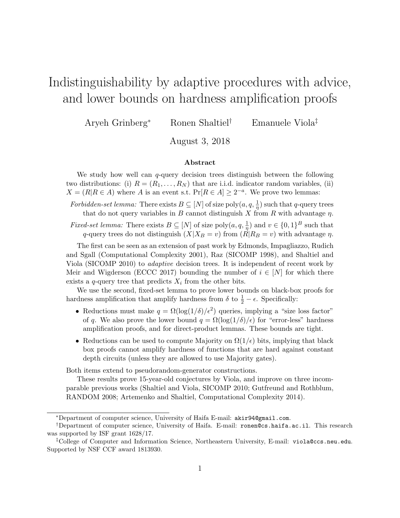# Indistinguishability by adaptive procedures with advice, and lower bounds on hardness amplification proofs

Aryeh Grinberg<sup>∗</sup> Ronen Shaltiel† Emanuele Viola‡

August 3, 2018

#### Abstract

We study how well can  $q$ -query decision trees distinguish between the following two distributions: (i)  $R = (R_1, \ldots, R_N)$  that are i.i.d. indicator random variables, (ii)  $X = (R | R \in A)$  where A is an event s.t.  $Pr[R \in A] \geq 2^{-a}$ . We prove two lemmas:

Forbidden-set lemma: There exists  $B \subseteq [N]$  of size  $\text{poly}(a, q, \frac{1}{n})$  such that q-query trees that do not query variables in B cannot distinguish X from R with advantage  $\eta$ .

*Fixed-set lemma:* There exists  $B \subseteq [N]$  of size  $\text{poly}(a, q, \frac{1}{n})$  and  $v \in \{0, 1\}^B$  such that q-query trees do not distinguish  $(X|X_B = v)$  from  $(R|R_B = v)$  with advantage  $\eta$ .

The first can be seen as an extension of past work by Edmonds, Impagliazzo, Rudich and Sgall (Computational Complexity 2001), Raz (SICOMP 1998), and Shaltiel and Viola (SICOMP 2010) to adaptive decision trees. It is independent of recent work by Meir and Wigderson (ECCC 2017) bounding the number of  $i \in [N]$  for which there exists a q-query tree that predicts  $X_i$  from the other bits.

We use the second, fixed-set lemma to prove lower bounds on black-box proofs for hardness amplification that amplify hardness from  $\delta$  to  $\frac{1}{2} - \epsilon$ . Specifically:

- Reductions must make  $q = \Omega(\log(1/\delta)/\epsilon^2)$  queries, implying a "size loss factor" of q. We also prove the lower bound  $q = \Omega(\log(1/\delta)/\epsilon)$  for "error-less" hardness amplification proofs, and for direct-product lemmas. These bounds are tight.
- Reductions can be used to compute Majority on  $\Omega(1/\epsilon)$  bits, implying that black box proofs cannot amplify hardness of functions that are hard against constant depth circuits (unless they are allowed to use Majority gates).

Both items extend to pseudorandom-generator constructions.

These results prove 15-year-old conjectures by Viola, and improve on three incomparable previous works (Shaltiel and Viola, SICOMP 2010; Gutfreund and Rothblum, RANDOM 2008; Artemenko and Shaltiel, Computational Complexity 2014).

<sup>∗</sup>Department of computer science, University of Haifa E-mail: akir94@gmail.com.

<sup>†</sup>Department of computer science, University of Haifa. E-mail: ronen@cs.haifa.ac.il. This research was supported by ISF grant 1628/17.

<sup>‡</sup>College of Computer and Information Science, Northeastern University, E-mail: viola@ccs.neu.edu. Supported by NSF CCF award 1813930.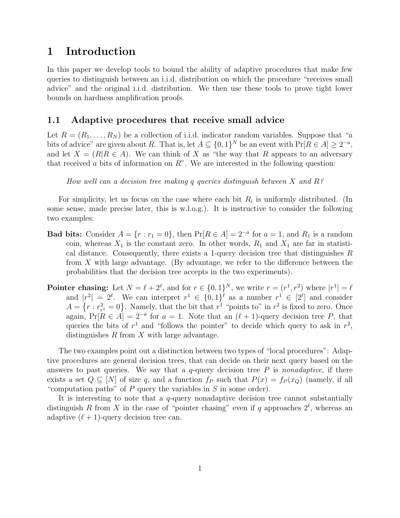# 1 Introduction

In this paper we develop tools to bound the ability of adaptive procedures that make few queries to distinguish between an i.i.d. distribution on which the procedure "receives small advice" and the original i.i.d. distribution. We then use these tools to prove tight lower bounds on hardness amplification proofs.

## 1.1 Adaptive procedures that receive small advice

Let  $R = (R_1, \ldots, R_N)$  be a collection of i.i.d. indicator random variables. Suppose that "a bits of advice" are given about R. That is, let  $A \subseteq \{0,1\}^N$  be an event with  $\Pr[R \in A] \geq 2^{-a}$ , and let  $X = (R | R \in A)$ . We can think of X as "the way that R appears to an adversary that received a bits of information on  $R$ ". We are interested in the following question:

How well can a decision tree making q queries distinguish between X and  $R$ ?

For simplicity, let us focus on the case where each bit  $R_i$  is uniformly distributed. (In some sense, made precise later, this is w.l.o.g.). It is instructive to consider the following two examples:

- **Bad bits:** Consider  $A = \{r : r_1 = 0\}$ , then  $Pr[R \in A] = 2^{-a}$  for  $a = 1$ , and  $R_1$  is a random coin, whereas  $X_1$  is the constant zero. In other words,  $R_1$  and  $X_1$  are far in statistical distance. Consequently, there exists a 1-query decision tree that distinguishes  $R$ from  $X$  with large advantage. (By advantage, we refer to the difference between the probabilities that the decision tree accepts in the two experiments).
- **Pointer chasing:** Let  $N = \ell + 2^{\ell}$ , and for  $r \in \{0, 1\}^N$ , we write  $r = (r^1, r^2)$  where  $|r^1| = \ell$ and  $|r^2| = 2^{\ell}$ . We can interpret  $r^1 \in \{0,1\}^{\ell}$  as a number  $r^1 \in [2^{\ell}]$  and consider  $A = \{r : r^2_r\}$  $r_r^2 = 0$ . Namely, that the bit that  $r^1$  "points to" in  $r^2$  is fixed to zero. Once again,  $Pr[R \in A] = 2^{-a}$  for  $a = 1$ . Note that an  $(\ell + 1)$ -query decision tree P, that queries the bits of  $r<sup>1</sup>$  and "follows the pointer" to decide which query to ask in  $r<sup>2</sup>$ , distinguishes  $R$  from  $X$  with large advantage.

The two examples point out a distinction between two types of "local procedures": Adaptive procedures are general decision trees, that can decide on their next query based on the answers to past queries. We say that a  $q$ -query decision tree  $P$  is nonadaptive, if there exists a set  $Q \subseteq [N]$  of size q, and a function  $f_P$  such that  $P(x) = f_P(x_Q)$  (namely, if all "computation paths" of  $P$  query the variables in  $S$  in some order).

It is interesting to note that a  $q$ -query nonadaptive decision tree cannot substantially distinguish R from X in the case of "pointer chasing" even if q approaches  $2^{\ell}$ , whereas an adaptive  $(\ell + 1)$ -query decision tree can.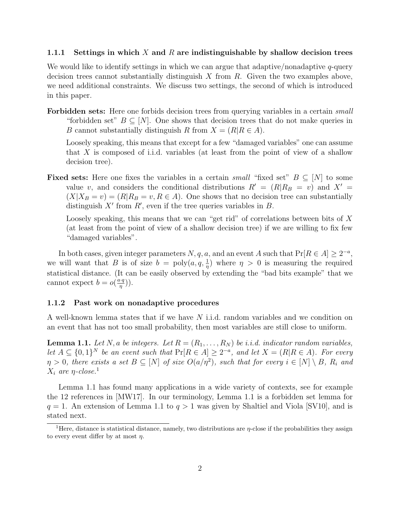#### 1.1.1 Settings in which X and R are indistinguishable by shallow decision trees

We would like to identify settings in which we can argue that adaptive/nonadaptive  $q$ -query decision trees cannot substantially distinguish  $X$  from  $R$ . Given the two examples above, we need additional constraints. We discuss two settings, the second of which is introduced in this paper.

Forbidden sets: Here one forbids decision trees from querying variables in a certain *small* "forbidden set"  $B \subseteq [N]$ . One shows that decision trees that do not make queries in B cannot substantially distinguish R from  $X = (R|R \in A)$ .

Loosely speaking, this means that except for a few "damaged variables" one can assume that X is composed of i.i.d. variables (at least from the point of view of a shallow decision tree).

Fixed sets: Here one fixes the variables in a certain small "fixed set"  $B \subseteq [N]$  to some value v, and considers the conditional distributions  $R' = (R|R_B = v)$  and  $X' =$  $(X|X_B = v) = (R|R_B = v, R \in A)$ . One shows that no decision tree can substantially distinguish  $X'$  from  $R'$ , even if the tree queries variables in  $B$ .

Loosely speaking, this means that we can "get rid" of correlations between bits of X (at least from the point of view of a shallow decision tree) if we are willing to fix few "damaged variables".

In both cases, given integer parameters  $N, q, a$ , and an event A such that  $Pr[R \in A] \geq 2^{-a}$ , we will want that B is of size  $b = \text{poly}(a, q, \frac{1}{\eta})$  where  $\eta > 0$  is measuring the required statistical distance. (It can be easily observed by extending the "bad bits example" that we cannot expect  $b = o(\frac{a \cdot q}{n})$  $\frac{q}{\eta}$ )).

#### 1.1.2 Past work on nonadaptive procedures

A well-known lemma states that if we have N i.i.d. random variables and we condition on an event that has not too small probability, then most variables are still close to uniform.

**Lemma 1.1.** Let N, a be integers. Let  $R = (R_1, \ldots, R_N)$  be i.i.d. indicator random variables, let  $A \subseteq \{0,1\}^N$  be an event such that  $Pr[R \in A] \geq 2^{-a}$ , and let  $X = (R|R \in A)$ . For every  $\eta > 0$ , there exists a set  $B \subseteq [N]$  of size  $O(a/\eta^2)$ , such that for every  $i \in [N] \setminus B$ ,  $R_i$  and  $X_i$  are  $\eta$ -close.<sup>1</sup>

Lemma 1.1 has found many applications in a wide variety of contexts, see for example the 12 references in [MW17]. In our terminology, Lemma 1.1 is a forbidden set lemma for  $q = 1$ . An extension of Lemma 1.1 to  $q > 1$  was given by Shaltiel and Viola [SV10], and is stated next.

<sup>&</sup>lt;sup>1</sup>Here, distance is statistical distance, namely, two distributions are  $\eta$ -close if the probabilities they assign to every event differ by at most  $\eta$ .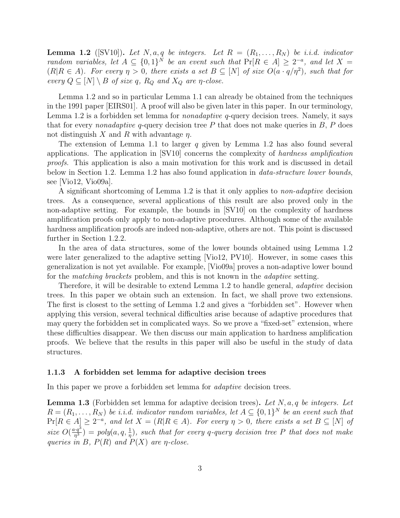**Lemma 1.2** ([SV10]). Let N, a, q be integers. Let  $R = (R_1, \ldots, R_N)$  be i.i.d. indicator random variables, let  $A \subseteq \{0,1\}^N$  be an event such that  $Pr[R \in A] \geq 2^{-a}$ , and let  $X =$  $(R|R \in A)$ . For every  $\eta > 0$ , there exists a set  $B \subseteq [N]$  of size  $O(a \cdot q/\eta^2)$ , such that for every  $Q \subseteq [N] \setminus B$  of size q,  $R_Q$  and  $X_Q$  are  $\eta$ -close.

Lemma 1.2 and so in particular Lemma 1.1 can already be obtained from the techniques in the 1991 paper [EIRS01]. A proof will also be given later in this paper. In our terminology, Lemma 1.2 is a forbidden set lemma for *nonadaptive q*-query decision trees. Namely, it says that for every *nonadaptive* q-query decision tree  $P$  that does not make queries in  $B$ ,  $P$  does not distinguish X and R with advantage  $\eta$ .

The extension of Lemma 1.1 to larger q given by Lemma 1.2 has also found several applications. The application in [SV10] concerns the complexity of hardness amplification proofs. This application is also a main motivation for this work and is discussed in detail below in Section 1.2. Lemma 1.2 has also found application in *data-structure lower bounds*, see [Vio12, Vio09a].

A significant shortcoming of Lemma 1.2 is that it only applies to non-adaptive decision trees. As a consequence, several applications of this result are also proved only in the non-adaptive setting. For example, the bounds in [SV10] on the complexity of hardness amplification proofs only apply to non-adaptive procedures. Although some of the available hardness amplification proofs are indeed non-adaptive, others are not. This point is discussed further in Section 1.2.2.

In the area of data structures, some of the lower bounds obtained using Lemma 1.2 were later generalized to the adaptive setting [Vio12, PV10]. However, in some cases this generalization is not yet available. For example, [Vio09a] proves a non-adaptive lower bound for the *matching brackets* problem, and this is not known in the *adaptive* setting.

Therefore, it will be desirable to extend Lemma 1.2 to handle general, *adaptive* decision trees. In this paper we obtain such an extension. In fact, we shall prove two extensions. The first is closest to the setting of Lemma 1.2 and gives a "forbidden set". However when applying this version, several technical difficulties arise because of adaptive procedures that may query the forbidden set in complicated ways. So we prove a "fixed-set" extension, where these difficulties disappear. We then discuss our main application to hardness amplification proofs. We believe that the results in this paper will also be useful in the study of data structures.

#### 1.1.3 A forbidden set lemma for adaptive decision trees

In this paper we prove a forbidden set lemma for *adaptive* decision trees.

**Lemma 1.3** (Forbidden set lemma for adaptive decision trees). Let  $N$ ,  $a$ ,  $q$  be integers. Let  $R = (R_1, \ldots, R_N)$  be i.i.d. indicator random variables, let  $A \subseteq \{0,1\}^N$  be an event such that  $Pr[R \in A] \geq 2^{-a}$ , and let  $X = (R|R \in A)$ . For every  $\eta > 0$ , there exists a set  $B \subseteq [N]$  of size  $O(\frac{a \cdot q^3}{n^3})$  $\frac{d^2q^3}{m^3}$ ) = poly $(a,q,\frac{1}{\eta})$ , such that for every q-query decision tree P that does not make queries in B,  $P(R)$  and  $P(X)$  are  $\eta$ -close.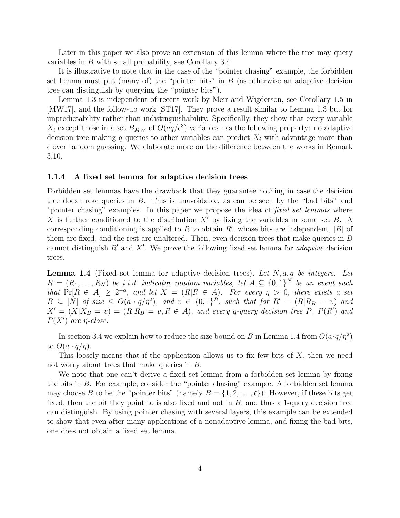Later in this paper we also prove an extension of this lemma where the tree may query variables in B with small probability, see Corollary 3.4.

It is illustrative to note that in the case of the "pointer chasing" example, the forbidden set lemma must put (many of) the "pointer bits" in  $B$  (as otherwise an adaptive decision tree can distinguish by querying the "pointer bits").

Lemma 1.3 is independent of recent work by Meir and Wigderson, see Corollary 1.5 in [MW17], and the follow-up work [ST17]. They prove a result similar to Lemma 1.3 but for unpredictability rather than indistinguishability. Specifically, they show that every variable  $X_i$  except those in a set  $B_{MW}$  of  $O(aq/\epsilon^3)$  variables has the following property: no adaptive decision tree making q queries to other variables can predict  $X_i$  with advantage more than  $\epsilon$  over random guessing. We elaborate more on the difference between the works in Remark 3.10.

#### 1.1.4 A fixed set lemma for adaptive decision trees

Forbidden set lemmas have the drawback that they guarantee nothing in case the decision tree does make queries in B. This is unavoidable, as can be seen by the "bad bits" and "pointer chasing" examples. In this paper we propose the idea of *fixed set lemmas* where X is further conditioned to the distribution  $X'$  by fixing the variables in some set B. A corresponding conditioning is applied to R to obtain  $R'$ , whose bits are independent, |B| of them are fixed, and the rest are unaltered. Then, even decision trees that make queries in B cannot distinguish  $R'$  and  $X'$ . We prove the following fixed set lemma for *adaptive* decision trees.

**Lemma 1.4** (Fixed set lemma for adaptive decision trees). Let  $N$ ,  $a$ ,  $q$  be integers. Let  $R = (R_1, \ldots, R_N)$  be i.i.d. indicator random variables, let  $A \subseteq \{0,1\}^N$  be an event such that  $Pr[R \in A] \geq 2^{-a}$ , and let  $X = (R|R \in A)$ . For every  $\eta > 0$ , there exists a set  $B \subseteq [N]$  of size  $\leq O(a \cdot q/\eta^2)$ , and  $v \in \{0,1\}^B$ , such that for  $R' = (R|R_B = v)$  and  $X' = (X|X_B = v) = (R|R_B = v, R \in A)$ , and every q-query decision tree P,  $P(R')$  and  $P(X')$  are  $\eta$ -close.

In section 3.4 we explain how to reduce the size bound on B in Lemma 1.4 from  $O(a \cdot q/\eta^2)$ to  $O(a \cdot q/\eta)$ .

This loosely means that if the application allows us to fix few bits of  $X$ , then we need not worry about trees that make queries in B.

We note that one can't derive a fixed set lemma from a forbidden set lemma by fixing the bits in B. For example, consider the "pointer chasing" example. A forbidden set lemma may choose B to be the "pointer bits" (namely  $B = \{1, 2, ..., \ell\}$ ). However, if these bits get fixed, then the bit they point to is also fixed and not in  $B$ , and thus a 1-query decision tree can distinguish. By using pointer chasing with several layers, this example can be extended to show that even after many applications of a nonadaptive lemma, and fixing the bad bits, one does not obtain a fixed set lemma.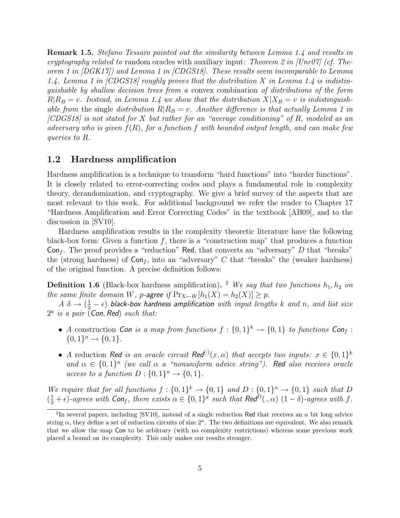Remark 1.5. Stefano Tessaro pointed out the similarity between Lemma 1.4 and results in cryptography related to random oracles with auxiliary input: Theorem 2 in [Unr07] (cf. Theorem 1 in [DGK17]) and Lemma 1 in [CDGS18]. These results seem incomparable to Lemma 1.4. Lemma 1 in  $|CDGS18|$  roughly proves that the distribution X in Lemma 1.4 is indistinguishable by shallow decision trees from a convex combination of distributions of the form  $R|R_B = v$ . Instead, in Lemma 1.4 we show that the distribution  $X|X_B = v$  is indistinguishable from the single distribution  $R|R_B = v$ . Another difference is that actually Lemma 1 in [CDGS18] is not stated for X but rather for an "average conditioning" of R, modeled as an adversary who is given  $f(R)$ , for a function f with bounded output length, and can make few queries to R.

## 1.2 Hardness amplification

Hardness amplification is a technique to transform "hard functions" into "harder functions". It is closely related to error-correcting codes and plays a fundamental role in complexity theory, derandomization, and cryptography. We give a brief survey of the aspects that are most relevant to this work. For additional background we refer the reader to Chapter 17 "Hardness Amplification and Error Correcting Codes" in the textbook [AB09], and to the discussion in [SV10].

Hardness amplification results in the complexity theoretic literature have the following black-box form: Given a function  $f$ , there is a "construction map" that produces a function  $Con_f$ . The proof provides a "reduction" Red, that converts an "adversary" D that "breaks" the (strong hardness) of  $Con_f$ , into an "adversary" C that "breaks" the (weaker hardness) of the original function. A precise definition follows:

**Definition 1.6** (Black-box hardness amplification). <sup>2</sup> We say that two functions  $h_1, h_2$  on the same finite domain W, p-agree if  $Pr_{X \leftarrow W}[h_1(X) = h_2(X)] \ge p$ .

 $A \,\,\delta \to (\frac{1}{2}-\epsilon)$  black-box hardness amplification with input lengths k and n, and list size  $2^a$  is a pair (Con, Red) such that:

- A construction Con is a map from functions  $f: \{0,1\}^k \to \{0,1\}$  to functions Conf:  ${0,1}^n \rightarrow {0,1}.$
- A reduction Red is an oracle circuit Red<sup>(·)</sup> $(x, \alpha)$  that accepts two inputs:  $x \in \{0,1\}^k$ and  $\alpha \in \{0,1\}^a$  (we call  $\alpha$  a "nonuniform advice string"). Red also receives oracle access to a function  $D: \{0,1\}^n \to \{0,1\}.$

We require that for all functions  $f: \{0,1\}^k \to \{0,1\}$  and  $D: \{0,1\}^n \to \{0,1\}$  such that D  $(\frac{1}{2} + \epsilon)$ -agrees with  $\text{Con}_f$ , there exists  $\alpha \in \{0,1\}^a$  such that  $\text{Red}^D(.,\alpha)$   $(1-\delta)$ -agrees with f.

<sup>&</sup>lt;sup>2</sup>In several papers, including [SV10], instead of a single reduction Red that receives an a bit long advice string  $\alpha$ , they define a set of reduction circuits of size  $2^a$ . The two definitions are equivalent. We also remark that we allow the map Con to be arbitrary (with no complexity restrictions) whereas some previous work placed a bound on its complexity. This only makes our results stronger.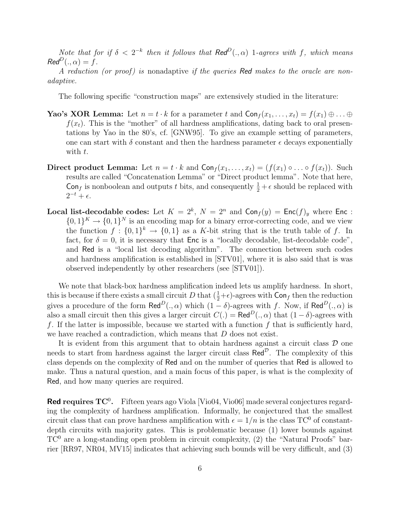Note that for if  $\delta < 2^{-k}$  then it follows that  $\text{Red}^D(.,\alpha)$  1-agrees with f, which means  $Red^D(.,\alpha) = f.$ 

A reduction (or proof) is nonadaptive if the queries Red makes to the oracle are nonadaptive.

The following specific "construction maps" are extensively studied in the literature:

- **Yao's XOR Lemma:** Let  $n = t \cdot k$  for a parameter t and  $Con_f(x_1, \ldots, x_t) = f(x_1) \oplus \ldots \oplus f(x_t)$  $f(x_t)$ . This is the "mother" of all hardness amplifications, dating back to oral presentations by Yao in the 80's, cf. [GNW95]. To give an example setting of parameters, one can start with  $\delta$  constant and then the hardness parameter  $\epsilon$  decays exponentially with  $t$ .
- Direct product Lemma: Let  $n = t \cdot k$  and  $Con_f(x_1, \ldots, x_t) = (f(x_1) \circ \ldots \circ f(x_t))$ . Such results are called "Concatenation Lemma" or "Direct product lemma". Note that here, Conf is nonboolean and outputs t bits, and consequently  $\frac{1}{2} + \epsilon$  should be replaced with  $2^{-t} + \epsilon$ .
- Local list-decodable codes: Let  $K = 2^k$ ,  $N = 2^n$  and  $\textsf{Con}_f(y) = \textsf{Enc}(f)_y$  where  $\textsf{Enc}$ :  $\{0,1\}^K \to \{0,1\}^N$  is an encoding map for a binary error-correcting code, and we view the function  $f: \{0,1\}^k \to \{0,1\}$  as a K-bit string that is the truth table of f. In fact, for  $\delta = 0$ , it is necessary that Enc is a "locally decodable, list-decodable code", and Red is a "local list decoding algorithm". The connection between such codes and hardness amplification is established in [STV01], where it is also said that is was observed independently by other researchers (see [STV01]).

We note that black-box hardness amplification indeed lets us amplify hardness. In short, this is because if there exists a small circuit D that  $(\frac{1}{2}+\epsilon)$ -agrees with  $\textsf{Con}_f$  then the reduction gives a procedure of the form Red<sup>D</sup>(.,  $\alpha$ ) which  $(1 - \delta)$ -agrees with f. Now, if Red<sup>D</sup>(.,  $\alpha$ ) is also a small circuit then this gives a larger circuit  $C(.) = \text{Red}^D(., \alpha)$  that  $(1 - \delta)$ -agrees with f. If the latter is impossible, because we started with a function  $f$  that is sufficiently hard, we have reached a contradiction, which means that D does not exist.

It is evident from this argument that to obtain hardness against a circuit class  $\mathcal D$  one needs to start from hardness against the larger circuit class  $\mathsf{Red}^{\mathcal{D}}$ . The complexity of this class depends on the complexity of Red and on the number of queries that Red is allowed to make. Thus a natural question, and a main focus of this paper, is what is the complexity of Red, and how many queries are required.

Red requires  $TC^0$ . Fifteen years ago Viola [Vio04, Vio06] made several conjectures regarding the complexity of hardness amplification. Informally, he conjectured that the smallest circuit class that can prove hardness amplification with  $\epsilon = 1/n$  is the class TC<sup>0</sup> of constantdepth circuits with majority gates. This is problematic because (1) lower bounds against  $TC^{0}$  are a long-standing open problem in circuit complexity, (2) the "Natural Proofs" barrier [RR97, NR04, MV15] indicates that achieving such bounds will be very difficult, and (3)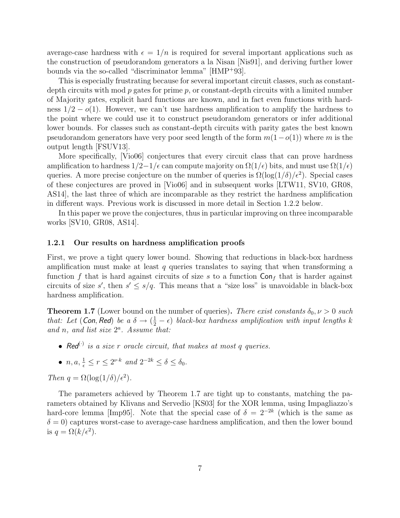average-case hardness with  $\epsilon = 1/n$  is required for several important applications such as the construction of pseudorandom generators a la Nisan [Nis91], and deriving further lower bounds via the so-called "discriminator lemma" [HMP<sup>+</sup>93].

This is especially frustrating because for several important circuit classes, such as constantdepth circuits with mod  $p$  gates for prime  $p$ , or constant-depth circuits with a limited number of Majority gates, explicit hard functions are known, and in fact even functions with hardness  $1/2 - o(1)$ . However, we can't use hardness amplification to amplify the hardness to the point where we could use it to construct pseudorandom generators or infer additional lower bounds. For classes such as constant-depth circuits with parity gates the best known pseudorandom generators have very poor seed length of the form  $m(1-o(1))$  where m is the output length [FSUV13].

More specifically, [Vio06] conjectures that every circuit class that can prove hardness amplification to hardness  $1/2-1/\epsilon$  can compute majority on  $\Omega(1/\epsilon)$  bits, and must use  $\Omega(1/\epsilon)$ queries. A more precise conjecture on the number of queries is  $\Omega(\log(1/\delta)/\epsilon^2)$ . Special cases of these conjectures are proved in [Vio06] and in subsequent works [LTW11, SV10, GR08, AS14], the last three of which are incomparable as they restrict the hardness amplification in different ways. Previous work is discussed in more detail in Section 1.2.2 below.

In this paper we prove the conjectures, thus in particular improving on three incomparable works [SV10, GR08, AS14].

#### 1.2.1 Our results on hardness amplification proofs

First, we prove a tight query lower bound. Showing that reductions in black-box hardness amplification must make at least  $q$  queries translates to saying that when transforming a function f that is hard against circuits of size s to a function  $\textsf{Con}_{f}$  that is harder against circuits of size s', then  $s' \leq s/q$ . This means that a "size loss" is unavoidable in black-box hardness amplification.

**Theorem 1.7** (Lower bound on the number of queries). There exist constants  $\delta_0, \nu > 0$  such that: Let (Con, Red) be a  $\delta \to (\frac{1}{2} - \epsilon)$  black-box hardness amplification with input lengths k and n, and list size  $2^a$ . Assume that:

- Red<sup>(.)</sup> is a size r oracle circuit, that makes at most q queries.
- $n, a, \frac{1}{\epsilon} \le r \le 2^{\nu \cdot k}$  and  $2^{-2k} \le \delta \le \delta_0$ .

Then  $q = \Omega(\log(1/\delta)/\epsilon^2)$ .

The parameters achieved by Theorem 1.7 are tight up to constants, matching the parameters obtained by Klivans and Servedio [KS03] for the XOR lemma, using Impagliazzo's hard-core lemma [Imp95]. Note that the special case of  $\delta = 2^{-2k}$  (which is the same as  $\delta = 0$ ) captures worst-case to average-case hardness amplification, and then the lower bound is  $q = \Omega(k/\epsilon^2)$ .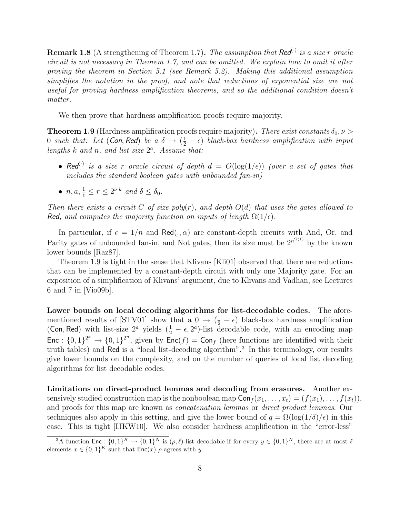**Remark 1.8** (A strengthening of Theorem 1.7). The assumption that Red<sup>(:)</sup> is a size r oracle circuit is not necessary in Theorem 1.7, and can be omitted. We explain how to omit it after proving the theorem in Section 5.1 (see Remark 5.2). Making this additional assumption simplifies the notation in the proof, and note that reductions of exponential size are not useful for proving hardness amplification theorems, and so the additional condition doesn't matter.

We then prove that hardness amplification proofs require majority.

**Theorem 1.9** (Hardness amplification proofs require majority). There exist constants  $\delta_0, \nu >$ 0 such that: Let  $(Con, Red)$  be a  $\delta \rightarrow (\frac{1}{2}-\epsilon)$  black-box hardness amplification with input lengths  $k$  and  $n$ , and list size  $2<sup>a</sup>$ . Assume that:

- Red<sup>(.)</sup> is a size r oracle circuit of depth  $d = O(\log(1/\epsilon))$  (over a set of gates that includes the standard boolean gates with unbounded fan-in)
- $n, a, \frac{1}{\epsilon} \le r \le 2^{\nu \cdot k}$  and  $\delta \le \delta_0$ .

Then there exists a circuit C of size poly(r), and depth  $O(d)$  that uses the gates allowed to Red, and computes the majority function on inputs of length  $\Omega(1/\epsilon)$ .

In particular, if  $\epsilon = 1/n$  and Red(.,  $\alpha$ ) are constant-depth circuits with And, Or, and Parity gates of unbounded fan-in, and Not gates, then its size must be  $2^{n^{\Omega(1)}}$  by the known lower bounds [Raz87].

Theorem 1.9 is tight in the sense that Klivans [Kli01] observed that there are reductions that can be implemented by a constant-depth circuit with only one Majority gate. For an exposition of a simplification of Klivans' argument, due to Klivans and Vadhan, see Lectures 6 and 7 in [Vio09b].

Lower bounds on local decoding algorithms for list-decodable codes. The aforementioned results of [STV01] show that a  $0 \rightarrow (\frac{1}{2} - \epsilon)$  black-box hardness amplification (Con, Red) with list-size  $2^a$  yields  $(\frac{1}{2} - \epsilon, 2^a)$ -list decodable code, with an encoding map Enc :  $\{0,1\}^{2^k} \to \{0,1\}^{2^n}$ , given by Enc $(f)$  = Con<sub>f</sub> (here functions are identified with their truth tables) and Red is a "local list-decoding algorithm".<sup>3</sup> In this terminology, our results give lower bounds on the complexity, and on the number of queries of local list decoding algorithms for list decodable codes.

Limitations on direct-product lemmas and decoding from erasures. Another extensively studied construction map is the nonboolean map  $\text{Con}_{f}(x_1, \ldots, x_t) = (f(x_1), \ldots, f(x_t)),$ and proofs for this map are known as concatenation lemmas or direct product lemmas. Our techniques also apply in this setting, and give the lower bound of  $q = \Omega(\log(1/\delta)/\epsilon)$  in this case. This is tight [IJKW10]. We also consider hardness amplification in the "error-less"

<sup>&</sup>lt;sup>3</sup>A function  $\textsf{Enc}: \{0,1\}^K \to \{0,1\}^N$  is  $(\rho, \ell)$ -list decodable if for every  $y \in \{0,1\}^N$ , there are at most  $\ell$ elements  $x \in \{0,1\}^K$  such that  $\mathsf{Enc}(x)$   $\rho$ -agrees with y.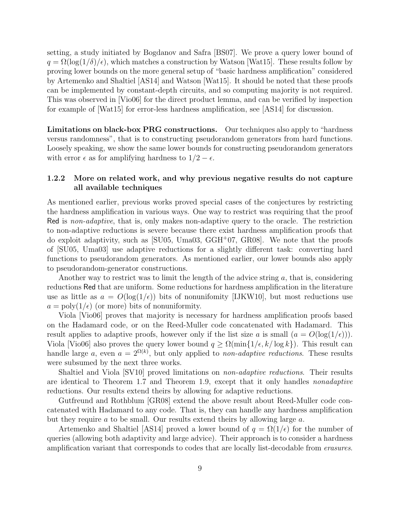setting, a study initiated by Bogdanov and Safra [BS07]. We prove a query lower bound of  $q = \Omega(\log(1/\delta)/\epsilon)$ , which matches a construction by Watson [Wat15]. These results follow by proving lower bounds on the more general setup of "basic hardness amplification" considered by Artemenko and Shaltiel [AS14] and Watson [Wat15]. It should be noted that these proofs can be implemented by constant-depth circuits, and so computing majority is not required. This was observed in [Vio06] for the direct product lemma, and can be verified by inspection for example of [Wat15] for error-less hardness amplification, see [AS14] for discussion.

Limitations on black-box PRG constructions. Our techniques also apply to "hardness versus randomness", that is to constructing pseudorandom generators from hard functions. Loosely speaking, we show the same lower bounds for constructing pseudorandom generators with error  $\epsilon$  as for amplifying hardness to  $1/2 - \epsilon$ .

## 1.2.2 More on related work, and why previous negative results do not capture all available techniques

As mentioned earlier, previous works proved special cases of the conjectures by restricting the hardness amplification in various ways. One way to restrict was requiring that the proof Red is non-adaptive, that is, only makes non-adaptive query to the oracle. The restriction to non-adaptive reductions is severe because there exist hardness amplification proofs that do exploit adaptivity, such as  $\vert$ SU05, Uma03, GGH<sup>+</sup>07, GR08. We note that the proofs of [SU05, Uma03] use adaptive reductions for a slightly different task: converting hard functions to pseudorandom generators. As mentioned earlier, our lower bounds also apply to pseudorandom-generator constructions.

Another way to restrict was to limit the length of the advice string  $a$ , that is, considering reductions Red that are uniform. Some reductions for hardness amplification in the literature use as little as  $a = O(\log(1/\epsilon))$  bits of nonunifomity [IJKW10], but most reductions use  $a = \text{poly}(1/\epsilon)$  (or more) bits of nonuniformity.

Viola [Vio06] proves that majority is necessary for hardness amplification proofs based on the Hadamard code, or on the Reed-Muller code concatenated with Hadamard. This result applies to adaptive proofs, however only if the list size a is small  $(a = O(\log(1/\epsilon)))$ . Viola [Vio06] also proves the query lower bound  $q \geq \Omega(\min\{1/\epsilon, k/\log k\})$ . This result can handle large a, even  $a = 2^{\Omega(k)}$ , but only applied to non-adaptive reductions. These results were subsumed by the next three works.

Shaltiel and Viola [SV10] proved limitations on *non-adaptive reductions*. Their results are identical to Theorem 1.7 and Theorem 1.9, except that it only handles nonadaptive reductions. Our results extend theirs by allowing for adaptive reductions.

Gutfreund and Rothblum [GR08] extend the above result about Reed-Muller code concatenated with Hadamard to any code. That is, they can handle any hardness amplification but they require a to be small. Our results extend theirs by allowing large a.

Artemenko and Shaltiel [AS14] proved a lower bound of  $q = \Omega(1/\epsilon)$  for the number of queries (allowing both adaptivity and large advice). Their approach is to consider a hardness amplification variant that corresponds to codes that are locally list-decodable from erasures.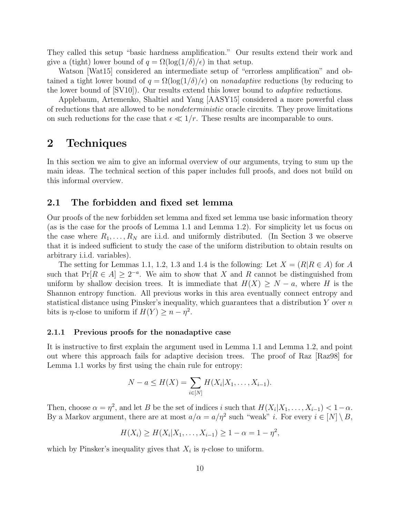They called this setup "basic hardness amplification." Our results extend their work and give a (tight) lower bound of  $q = \Omega(\log(1/\delta)/\epsilon)$  in that setup.

Watson [Wat15] considered an intermediate setup of "errorless amplification" and obtained a tight lower bound of  $q = \Omega(\log(1/\delta)/\epsilon)$  on *nonadaptive* reductions (by reducing to the lower bound of  $\text{[SVI0]}$ . Our results extend this lower bound to *adaptive* reductions.

Applebaum, Artemenko, Shaltiel and Yang [AASY15] considered a more powerful class of reductions that are allowed to be nondeterministic oracle circuits. They prove limitations on such reductions for the case that  $\epsilon \ll 1/r$ . These results are incomparable to ours.

# 2 Techniques

In this section we aim to give an informal overview of our arguments, trying to sum up the main ideas. The technical section of this paper includes full proofs, and does not build on this informal overview.

## 2.1 The forbidden and fixed set lemma

Our proofs of the new forbidden set lemma and fixed set lemma use basic information theory (as is the case for the proofs of Lemma 1.1 and Lemma 1.2). For simplicity let us focus on the case where  $R_1, \ldots, R_N$  are i.i.d. and uniformly distributed. (In Section 3 we observe that it is indeed sufficient to study the case of the uniform distribution to obtain results on arbitrary i.i.d. variables).

The setting for Lemmas 1.1, 1.2, 1.3 and 1.4 is the following: Let  $X = (R | R \in A)$  for A such that  $Pr[R \in A] \geq 2^{-a}$ . We aim to show that X and R cannot be distinguished from uniform by shallow decision trees. It is immediate that  $H(X) \geq N - a$ , where H is the Shannon entropy function. All previous works in this area eventually connect entropy and statistical distance using Pinsker's inequality, which guarantees that a distribution  $Y$  over  $n$ bits is  $\eta$ -close to uniform if  $H(Y) \geq n - \eta^2$ .

#### 2.1.1 Previous proofs for the nonadaptive case

It is instructive to first explain the argument used in Lemma 1.1 and Lemma 1.2, and point out where this approach fails for adaptive decision trees. The proof of Raz [Raz98] for Lemma 1.1 works by first using the chain rule for entropy:

$$
N - a \le H(X) = \sum_{i \in [N]} H(X_i | X_1, \dots, X_{i-1}).
$$

Then, choose  $\alpha = \eta^2$ , and let B be the set of indices i such that  $H(X_i|X_1,\ldots,X_{i-1}) < 1-\alpha$ . By a Markov argument, there are at most  $a/\alpha = a/\eta^2$  such "weak" *i*. For every  $i \in [N] \setminus B$ ,

$$
H(X_i) \ge H(X_i | X_1, \dots, X_{i-1}) \ge 1 - \alpha = 1 - \eta^2,
$$

which by Pinsker's inequality gives that  $X_i$  is  $\eta$ -close to uniform.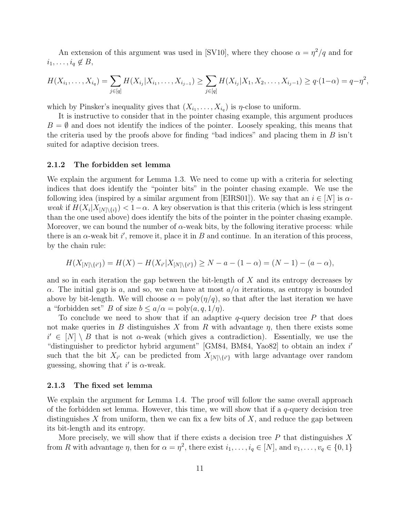An extension of this argument was used in [SV10], where they choose  $\alpha = \eta^2/q$  and for  $i_1, \ldots, i_q \notin B$ ,

$$
H(X_{i_1},\ldots,X_{i_q})=\sum_{j\in [q]}H(X_{i_j}|X_{i_1},\ldots,X_{i_{j-1}})\geq \sum_{j\in [q]}H(X_{i_j}|X_1,X_2,\ldots,X_{i_j-1})\geq q\cdot(1-\alpha)=q-\eta^2,
$$

which by Pinsker's inequality gives that  $(X_{i_1},...,X_{i_q})$  is  $\eta$ -close to uniform.

It is instructive to consider that in the pointer chasing example, this argument produces  $B = \emptyset$  and does not identify the indices of the pointer. Loosely speaking, this means that the criteria used by the proofs above for finding "bad indices" and placing them in  $B \sin t$ suited for adaptive decision trees.

#### 2.1.2 The forbidden set lemma

We explain the argument for Lemma 1.3. We need to come up with a criteria for selecting indices that does identify the "pointer bits" in the pointer chasing example. We use the following idea (inspired by a similar argument from [EIRS01]). We say that an  $i \in [N]$  is  $\alpha$ weak if  $H(X_i|X_{[N]\setminus\{i\}}) < 1-\alpha$ . A key observation is that this criteria (which is less stringent than the one used above) does identify the bits of the pointer in the pointer chasing example. Moreover, we can bound the number of  $\alpha$ -weak bits, by the following iterative process: while there is an  $\alpha$ -weak bit i', remove it, place it in B and continue. In an iteration of this process, by the chain rule:

$$
H(X_{[N]\setminus\{i'\}}) = H(X) - H(X_{i'}|X_{[N]\setminus\{i'\}}) \ge N - a - (1 - \alpha) = (N - 1) - (a - \alpha),
$$

and so in each iteration the gap between the bit-length of X and its entropy decreases by α. The initial gap is a, and so, we can have at most  $a/\alpha$  iterations, as entropy is bounded above by bit-length. We will choose  $\alpha = \text{poly}(\eta/q)$ , so that after the last iteration we have a "forbidden set" B of size  $b \le a/\alpha = \text{poly}(a, q, 1/\eta)$ .

To conclude we need to show that if an adaptive  $q$ -query decision tree P that does not make queries in B distinguishes X from R with advantage  $\eta$ , then there exists some  $i' \in [N] \setminus B$  that is not  $\alpha$ -weak (which gives a contradiction). Essentially, we use the "distinguisher to predictor hybrid argument" [GM84, BM84, Yao82] to obtain an index i' such that the bit  $X_{i'}$  can be predicted from  $X_{[N]\setminus\{i'\}}$  with large advantage over random guessing, showing that i' is  $\alpha$ -weak.

#### 2.1.3 The fixed set lemma

We explain the argument for Lemma 1.4. The proof will follow the same overall approach of the forbidden set lemma. However, this time, we will show that if a  $q$ -query decision tree distinguishes X from uniform, then we can fix a few bits of  $X$ , and reduce the gap between its bit-length and its entropy.

More precisely, we will show that if there exists a decision tree  $P$  that distinguishes X from R with advantage  $\eta$ , then for  $\alpha = \eta^2$ , there exist  $i_1, \ldots, i_q \in [N]$ , and  $v_1, \ldots, v_q \in \{0, 1\}$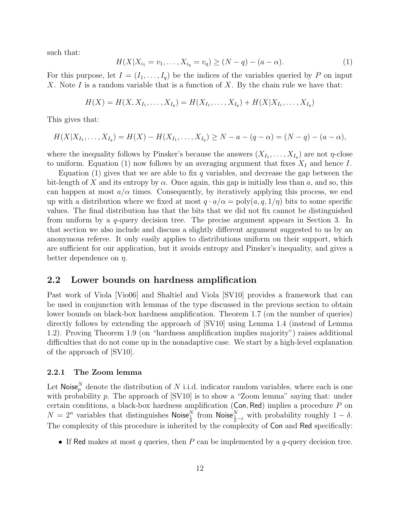such that:

$$
H(X|X_{i_1} = v_1, \dots, X_{i_q} = v_q) \ge (N - q) - (a - \alpha). \tag{1}
$$

For this purpose, let  $I = (I_1, \ldots, I_q)$  be the indices of the variables queried by P on input X. Note I is a random variable that is a function of X. By the chain rule we have that:

$$
H(X) = H(X, X_{I_1}, \dots, X_{I_q}) = H(X_{I_1}, \dots, X_{I_q}) + H(X|X_{I_1}, \dots, X_{I_q})
$$

This gives that:

$$
H(X|X_{I_1},\ldots,X_{I_q})=H(X)-H(X_{I_1},\ldots,X_{I_q})\geq N-a-(q-\alpha)=(N-q)-(a-\alpha),
$$

where the inequality follows by Pinsker's because the answers  $(X_{I_1},...,X_{I_q})$  are not  $\eta$ -close to uniform. Equation (1) now follows by an averaging argument that fixes  $X_I$  and hence I.

Equation (1) gives that we are able to fix q variables, and decrease the gap between the bit-length of X and its entropy by  $\alpha$ . Once again, this gap is initially less than a, and so, this can happen at most  $a/\alpha$  times. Consequently, by iteratively applying this process, we end up with a distribution where we fixed at most  $q \cdot a/\alpha = \text{poly}(a, q, 1/\eta)$  bits to some specific values. The final distribution has that the bits that we did not fix cannot be distinguished from uniform by a  $q$ -query decision tree. The precise argument appears in Section 3. In that section we also include and discuss a slightly different argument suggested to us by an anonymous referee. It only easily applies to distributions uniform on their support, which are sufficient for our application, but it avoids entropy and Pinsker's inequality, and gives a better dependence on  $\eta$ .

### 2.2 Lower bounds on hardness amplification

Past work of Viola [Vio06] and Shaltiel and Viola [SV10] provides a framework that can be used in conjunction with lemmas of the type discussed in the previous section to obtain lower bounds on black-box hardness amplification. Theorem 1.7 (on the number of queries) directly follows by extending the approach of [SV10] using Lemma 1.4 (instead of Lemma 1.2). Proving Theorem 1.9 (on "hardness amplification implies majority") raises additional difficulties that do not come up in the nonadaptive case. We start by a high-level explanation of the approach of [SV10].

#### 2.2.1 The Zoom lemma

Let Noise<sub>p</sub><sup>N</sup> denote the distribution of N i.i.d. indicator random variables, where each is one with probability p. The approach of  $SVI0$  is to show a "Zoom lemma" saying that: under certain conditions, a black-box hardness amplification ( $Con, Red$ ) implies a procedure  $P$  on  $N = 2^n$  variables that distinguishes Noise<sup>N</sup> from Noise<sup>N</sup><sub> $\frac{1}{2} - \epsilon$ </sub> with probability roughly  $1 - \delta$ . The complexity of this procedure is inherited by the complexity of Con and Red specifically:

• If Red makes at most q queries, then P can be implemented by a  $q$ -query decision tree.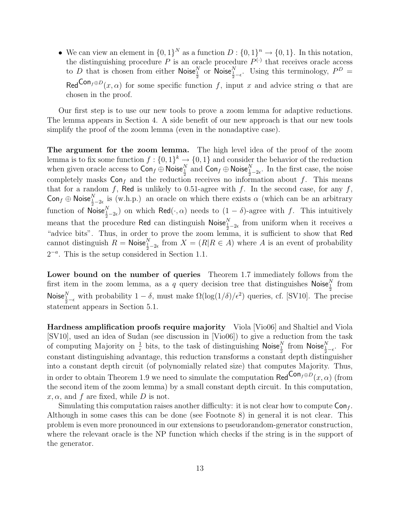• We can view an element in  $\{0,1\}^N$  as a function  $D: \{0,1\}^n \to \{0,1\}$ . In this notation, the distinguishing procedure P is an oracle procedure  $P^{(\cdot)}$  that receives oracle access to D that is chosen from either  $\mathsf{Noise}_{\frac{1}{2}}^N$  or  $\mathsf{Noise}_{\frac{1}{2}-\epsilon}^N$ . Using this terminology,  $P^D$  = Red<sup>Con</sup> $f \oplus D(x, \alpha)$  for some specific function f, input x and advice string  $\alpha$  that are chosen in the proof.

Our first step is to use our new tools to prove a zoom lemma for adaptive reductions. The lemma appears in Section 4. A side benefit of our new approach is that our new tools simplify the proof of the zoom lemma (even in the nonadaptive case).

The argument for the zoom lemma. The high level idea of the proof of the zoom lemma is to fix some function  $f: \{0,1\}^k \to \{0,1\}$  and consider the behavior of the reduction when given oracle access to  $\textsf{Con}_f \oplus \textsf{Noise}_{\frac{1}{2}}^N$  and  $\textsf{Con}_f \oplus \textsf{Noise}_{\frac{1}{2}-2\epsilon}^N$ . In the first case, the noise completely masks  $Con<sub>f</sub>$  and the reduction receives no information about f. This means that for a random f, Red is unlikely to 0.51-agree with f. In the second case, for any f, Conf  $\oplus$  Noise $\frac{N}{2}$  is (w.h.p.) an oracle on which there exists  $\alpha$  (which can be an arbitrary function of  $\mathsf{Noise}_{\frac{1}{2}-2\epsilon}^N$  on which  $\mathsf{Red}(\cdot,\alpha)$  needs to  $(1-\delta)$ -agree with f. This intuitively means that the procedure Red can distinguish Noise $\frac{N}{2}$ <sub>2</sub> from uniform when it receives a "advice bits". Thus, in order to prove the zoom lemma, it is sufficient to show that Red cannot distinguish  $R = \text{Noise}_{\frac{1}{2}-2\epsilon}^N$  from  $X = (R|R \in A)$  where A is an event of probability  $2^{-a}$ . This is the setup considered in Section 1.1.

Lower bound on the number of queries Theorem 1.7 immediately follows from the first item in the zoom lemma, as a q query decision tree that distinguishes Noise<sup>N</sup> from Noise $\frac{N}{2-\epsilon}$  with probability  $1-\delta$ , must make  $\Omega(\log(1/\delta)/\epsilon^2)$  queries, cf. [SV10]. The precise statement appears in Section 5.1.

Hardness amplification proofs require majority Viola [Vio06] and Shaltiel and Viola [SV10], used an idea of Sudan (see discussion in [Vio06]) to give a reduction from the task of computing Majority on  $\frac{1}{\epsilon}$  bits, to the task of distinguishing Noise $\frac{N}{\frac{1}{2}}$  from Noise $\frac{N}{\frac{1}{2}-\epsilon}$ . For constant distinguishing advantage, this reduction transforms a constant depth distinguisher into a constant depth circuit (of polynomially related size) that computes Majority. Thus, in order to obtain Theorem 1.9 we need to simulate the computation Red<sup>Con<sub>f</sub>⊕D</sup>(x,  $\alpha$ ) (from the second item of the zoom lemma) by a small constant depth circuit. In this computation,  $x, \alpha$ , and f are fixed, while D is not.

Simulating this computation raises another difficulty: it is not clear how to compute  $Con_f$ . Although in some cases this can be done (see Footnote 8) in general it is not clear. This problem is even more pronounced in our extensions to pseudorandom-generator construction, where the relevant oracle is the NP function which checks if the string is in the support of the generator.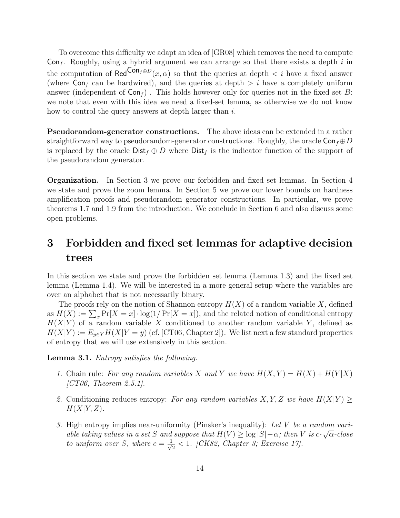To overcome this difficulty we adapt an idea of [GR08] which removes the need to compute Con<sub>f</sub>. Roughly, using a hybrid argument we can arrange so that there exists a depth i in the computation of  $\text{Red}^{\text{Con}_{f} \oplus D}(x, \alpha)$  so that the queries at depth  $\langle i \rangle$  have a fixed answer (where  $Con<sub>f</sub>$  can be hardwired), and the queries at depth  $> i$  have a completely uniform answer (independent of  $Con_f$ ). This holds however only for queries not in the fixed set B: we note that even with this idea we need a fixed-set lemma, as otherwise we do not know how to control the query answers at depth larger than i.

Pseudorandom-generator constructions. The above ideas can be extended in a rather straightforward way to pseudorandom-generator constructions. Roughly, the oracle  $\textsf{Con}_{f} \oplus D$ is replaced by the oracle  $\text{Dist}_f \oplus D$  where  $\text{Dist}_f$  is the indicator function of the support of the pseudorandom generator.

Organization. In Section 3 we prove our forbidden and fixed set lemmas. In Section 4 we state and prove the zoom lemma. In Section 5 we prove our lower bounds on hardness amplification proofs and pseudorandom generator constructions. In particular, we prove theorems 1.7 and 1.9 from the introduction. We conclude in Section 6 and also discuss some open problems.

# 3 Forbidden and fixed set lemmas for adaptive decision trees

In this section we state and prove the forbidden set lemma (Lemma 1.3) and the fixed set lemma (Lemma 1.4). We will be interested in a more general setup where the variables are over an alphabet that is not necessarily binary.

The proofs rely on the notion of Shannon entropy  $H(X)$  of a random variable X, defined as  $H(X) := \sum_{x} Pr[X = x] \cdot log(1/Pr[X = x])$ , and the related notion of conditional entropy  $H(X|Y)$  of a random variable X conditioned to another random variable Y, defined as  $H(X|Y) := E_{y \in Y} H(X|Y = y)$  (cf. [CT06, Chapter 2]). We list next a few standard properties of entropy that we will use extensively in this section.

Lemma 3.1. Entropy satisfies the following.

- 1. Chain rule: For any random variables X and Y we have  $H(X,Y) = H(X) + H(Y|X)$  $|CT06, Theorem 2.5.1|.$
- 2. Conditioning reduces entropy: For any random variables X, Y, Z we have  $H(X|Y) \ge$  $H(X|Y,Z)$ .
- 3. High entropy implies near-uniformity (Pinsker's inequality): Let V be a random variable taking values in a set S and suppose that  $H(V) \ge \log |S| - \alpha$ ; then V is  $c \cdot \sqrt{\alpha}$ -close to uniform over S, where  $c = \frac{1}{\sqrt{2}}$  $\frac{1}{2}$  < 1. [CK82, Chapter 3; Exercise 17].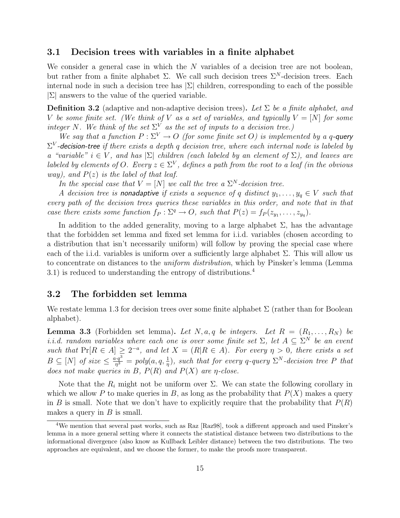## 3.1 Decision trees with variables in a finite alphabet

We consider a general case in which the  $N$  variables of a decision tree are not boolean, but rather from a finite alphabet  $\Sigma$ . We call such decision trees  $\Sigma^N$ -decision trees. Each internal node in such a decision tree has  $|\Sigma|$  children, corresponding to each of the possible  $|\Sigma|$  answers to the value of the queried variable.

**Definition 3.2** (adaptive and non-adaptive decision trees). Let  $\Sigma$  be a finite alphabet, and V be some finite set. (We think of V as a set of variables, and typically  $V = [N]$  for some integer N. We think of the set  $\Sigma^V$  as the set of inputs to a decision tree.)

We say that a function  $P: \Sigma^V \to O$  (for some finite set O) is implemented by a q-query  $\Sigma^V$ -decision-tree if there exists a depth q decision tree, where each internal node is labeled by a "variable"  $i \in V$ , and has  $|\Sigma|$  children (each labeled by an element of  $\Sigma$ ), and leaves are labeled by elements of O. Every  $z \in \Sigma^V$ , defines a path from the root to a leaf (in the obvious way), and  $P(z)$  is the label of that leaf.

In the special case that  $V = [N]$  we call the tree a  $\Sigma^N$ -decision tree.

A decision tree is nonadaptive if exists a sequence of q distinct  $y_1, \ldots, y_q \in V$  such that every path of the decision trees queries these variables in this order, and note that in that case there exists some function  $f_P : \Sigma^q \to O$ , such that  $P(z) = f_P(z_{y_1}, \ldots, z_{y_q})$ .

In addition to the added generality, moving to a large alphabet  $\Sigma$ , has the advantage that the forbidden set lemma and fixed set lemma for i.i.d. variables (chosen according to a distribution that isn't necessarily uniform) will follow by proving the special case where each of the i.i.d. variables is uniform over a sufficiently large alphabet  $\Sigma$ . This will allow us to concentrate on distances to the *uniform distribution*, which by Pinsker's lemma (Lemma) 3.1) is reduced to understanding the entropy of distributions.<sup>4</sup>

## 3.2 The forbidden set lemma

We restate lemma 1.3 for decision trees over some finite alphabet  $\Sigma$  (rather than for Boolean alphabet).

**Lemma 3.3** (Forbidden set lemma). Let N, a, q be integers. Let  $R = (R_1, \ldots, R_N)$  be i.i.d. random variables where each one is over some finite set  $\Sigma$ , let  $A \subseteq \Sigma^N$  be an event such that  $Pr[R \in A] \geq 2^{-a}$ , and let  $X = (R|R \in A)$ . For every  $\eta > 0$ , there exists a set  $B \subseteq [N]$  of size  $\leq \frac{a \cdot q^3}{n^3}$  $\frac{d^2q^3}{r^3}$  = poly $(a, q, \frac{1}{\eta})$ , such that for every q-query  $\Sigma^N$ -decision tree P that does not make queries in B,  $P(R)$  and  $P(X)$  are  $\eta$ -close.

Note that the  $R_i$  might not be uniform over  $\Sigma$ . We can state the following corollary in which we allow P to make queries in B, as long as the probability that  $P(X)$  makes a query in B is small. Note that we don't have to explicitly require that the probability that  $P(R)$ makes a query in  $B$  is small.

<sup>&</sup>lt;sup>4</sup>We mention that several past works, such as Raz [Raz98], took a different approach and used Pinsker's lemma in a more general setting where it connects the statistical distance between two distributions to the informational divergence (also know as Kullback Leibler distance) between the two distributions. The two approaches are equivalent, and we choose the former, to make the proofs more transparent.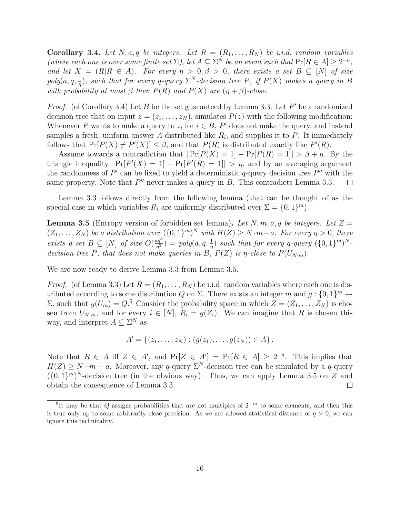**Corollary 3.4.** Let N, a, q be integers. Let  $R = (R_1, \ldots, R_N)$  be i.i.d. random variables (where each one is over some finite set  $\Sigma$ ), let  $A \subseteq \Sigma^N$  be an event such that  $Pr[R \in A] \geq 2^{-a}$ , and let  $X = (R|R \in A)$ . For every  $\eta > 0, \beta > 0$ , there exists a set  $B \subseteq [N]$  of size  $poly(a, q, \frac{1}{\eta})$ , such that for every q-query  $\Sigma^N$ -decision tree P, if  $P(X)$  makes a query in B with probability at most  $\beta$  then  $P(R)$  and  $P(X)$  are  $(\eta + \beta)$ -close.

*Proof.* (of Corollary 3.4) Let B be the set guaranteed by Lemma 3.3. Let  $P'$  be a randomized decision tree that on input  $z = (z_1, \ldots, z_N)$ , simulates  $P(z)$  with the following modification: Whenever P wants to make a query to  $z_i$  for  $i \in B$ , P' does not make the query, and instead samples a fresh, uniform answer A distributed like  $R_i$ , and supplies it to P. It immediately follows that  $Pr[P(X) \neq P'(X)] \leq \beta$ , and that  $P(R)$  is distributed exactly like  $P'(R)$ .

Assume towards a contradiction that  $|\Pr[P(X) = 1] - \Pr[P(R) = 1]| > \beta + \eta$ . By the triangle inequality  $|\Pr[P(X) = 1] - \Pr[P'(R) = 1]| > \eta$ , and by an averaging argument the randomness of  $P'$  can be fixed to yield a deterministic q-query decision tree  $P''$  with the same property. Note that  $P''$  never makes a query in  $B$ . This contradicts Lemma 3.3.  $\Box$ 

Lemma 3.3 follows directly from the following lemma (that can be thought of as the special case in which variables  $R_i$  are uniformly distributed over  $\Sigma = \{0, 1\}^m$ ).

**Lemma 3.5** (Entropy version of forbidden set lemma). Let N, m, a, q be integers. Let  $Z =$  $(Z_1, \ldots, Z_N)$  be a distribution over  $(\{0,1\}^m)^N$  with  $H(Z) \geq N \cdot m - a$ . For every  $\eta > 0$ , there exists a set  $B \subseteq [N]$  of size  $O(\frac{aq^3}{r^3})$  $\frac{q\cdot q^3}{m^3}$  = poly $(a,q,\frac{1}{\eta})$  such that for every q-query  $(\{0,1\}^m)^N$ . decision tree P, that does not make queries in B,  $P(Z)$  is  $\eta$ -close to  $P(U_{N\cdot m})$ .

We are now ready to derive Lemma 3.3 from Lemma 3.5.

*Proof.* (of Lemma 3.3) Let  $R = (R_1, \ldots, R_N)$  be i.i.d. random variables where each one is distributed according to some distribution Q on  $\Sigma$ . There exists an integer m and  $g: \{0,1\}^m \to$ Σ, such that  $g(U_m) = Q^5$  Consider the probability space in which  $Z = (Z_1, \ldots, Z_N)$  is chosen from  $U_{N-m}$ , and for every  $i \in [N]$ ,  $R_i = g(Z_i)$ . We can imagine that R is chosen this way, and interpret  $A \subseteq \Sigma^N$  as

$$
A' = \{(z_1, \ldots, z_N) : (g(z_1), \ldots, g(z_N)) \in A\}.
$$

Note that  $R \in A$  iff  $Z \in A'$ , and  $Pr[Z \in A'] = Pr[R \in A] \geq 2^{-a}$ . This implies that  $H(Z) \geq N \cdot m - a$ . Moreover, any q-query  $\Sigma^N$ -decision tree can be simulated by a q-query  $({0,1}^m)^N$ -decision tree (in the obvious way). Thus, we can apply Lemma 3.5 on Z and obtain the consequence of Lemma 3.3.  $\Box$ 

<sup>&</sup>lt;sup>5</sup>It may be that Q assigns probabilities that are not multiples of  $2^{-m}$  to some elements, and then this is true only up to some arbitrarily close precision. As we are allowed statistical distance of  $\eta > 0$ , we can ignore this technicality.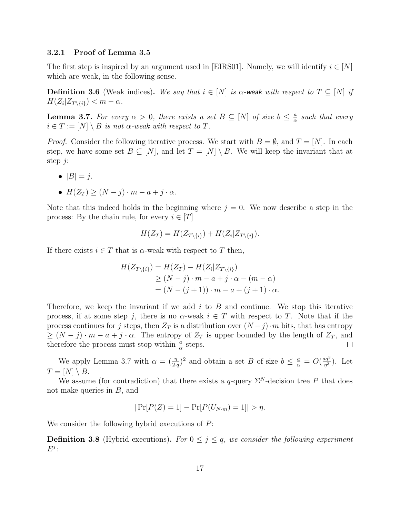#### 3.2.1 Proof of Lemma 3.5

The first step is inspired by an argument used in [EIRS01]. Namely, we will identify  $i \in [N]$ which are weak, in the following sense.

**Definition 3.6** (Weak indices). We say that  $i \in [N]$  is  $\alpha$ -weak with respect to  $T \subseteq [N]$  if  $H(Z_i | Z_{T \setminus \{i\}}) < m - \alpha.$ 

**Lemma 3.7.** For every  $\alpha > 0$ , there exists a set  $B \subseteq [N]$  of size  $b \leq \frac{a}{\alpha}$  $\frac{a}{\alpha}$  such that every  $i \in T := [N] \setminus B$  is not  $\alpha$ -weak with respect to T.

*Proof.* Consider the following iterative process. We start with  $B = \emptyset$ , and  $T = [N]$ . In each step, we have some set  $B \subseteq [N]$ , and let  $T = [N] \setminus B$ . We will keep the invariant that at step  $j$ :

•  $|B| = j$ .

• 
$$
H(Z_T) \geq (N-j) \cdot m - a + j \cdot \alpha
$$
.

Note that this indeed holds in the beginning where  $j = 0$ . We now describe a step in the process: By the chain rule, for every  $i \in [T]$ 

$$
H(Z_T) = H(Z_{T \setminus \{i\}}) + H(Z_i | Z_{T \setminus \{i\}}).
$$

If there exists  $i \in T$  that is  $\alpha$ -weak with respect to T then,

$$
H(Z_{T\setminus\{i\}}) = H(Z_T) - H(Z_i|Z_{T\setminus\{i\}})
$$
  
\n
$$
\geq (N-j) \cdot m - a + j \cdot \alpha - (m - \alpha)
$$
  
\n
$$
= (N - (j+1)) \cdot m - a + (j+1) \cdot \alpha.
$$

Therefore, we keep the invariant if we add  $i$  to  $B$  and continue. We stop this iterative process, if at some step j, there is no  $\alpha$ -weak  $i \in T$  with respect to T. Note that if the process continues for j steps, then  $Z_T$  is a distribution over  $(N - j) \cdot m$  bits, that has entropy  $\geq (N-j) \cdot m - a + j \cdot \alpha$ . The entropy of  $Z_T$  is upper bounded by the length of  $Z_T$ , and therefore the process must stop within  $\frac{a}{\alpha}$  steps.  $\Box$ 

We apply Lemma 3.7 with  $\alpha = (\frac{\eta}{2 \cdot q})^2$  and obtain a set B of size  $b \leq \frac{a}{\alpha} = O(\frac{aq^3}{\eta^3})$  $\frac{aq^{\circ}}{\eta^{3}}$ ). Let  $T = [N] \setminus B$ .

We assume (for contradiction) that there exists a q-query  $\Sigma^N$ -decision tree P that does not make queries in  $B$ , and

$$
|\Pr[P(Z) = 1] - \Pr[P(U_{N \cdot m}) = 1]| > \eta.
$$

We consider the following hybrid executions of  $P$ :

**Definition 3.8** (Hybrid executions). For  $0 \leq j \leq q$ , we consider the following experiment  $E^j$ :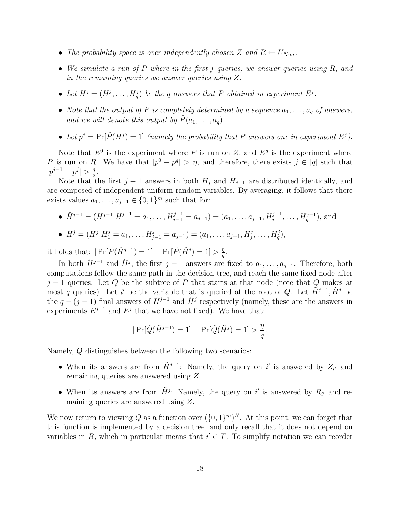- The probability space is over independently chosen Z and  $R \leftarrow U_{N \cdot m}$ .
- We simulate a run of  $P$  where in the first j queries, we answer queries using  $R$ , and in the remaining queries we answer queries using Z.
- Let  $H^j = (H_1^j)$  $H_1^j, \ldots, H_q^j$  be the q answers that P obtained in experiment  $E^j$ .
- Note that the output of P is completely determined by a sequence  $a_1, \ldots, a_q$  of answers, and we will denote this output by  $\hat{P}(a_1, \ldots, a_q)$ .
- Let  $p^j = Pr[\hat{P}(H^j) = 1]$  (namely the probability that P answers one in experiment  $E^j$ ).

Note that  $E^0$  is the experiment where P is run on Z, and  $E^q$  is the experiment where P is run on R. We have that  $|p^0 - p^q| > \eta$ , and therefore, there exists  $j \in [q]$  such that  $|p^{j-1}-p^j|>\frac{\eta}{a}$  $\frac{\eta}{q}.$ 

Note that the first  $j-1$  answers in both  $H_j$  and  $H_{j-1}$  are distributed identically, and are composed of independent uniform random variables. By averaging, it follows that there exists values  $a_1, \ldots, a_{j-1} \in \{0, 1\}^m$  such that for:

•  $\hat{H}^{j-1} = (H^{j-1}|H_1^{j-1} = a_1, \ldots, H_{j-1}^{j-1} = a_{j-1}) = (a_1, \ldots, a_{j-1}, H_j^{j-1}, \ldots, H_q^{j-1}),$  and

• 
$$
\hat{H}^j = (H^j | H_1^j = a_1, ..., H_{j-1}^j = a_{j-1}) = (a_1, ..., a_{j-1}, H_j^j, ..., H_q^j),
$$

it holds that:  $|\Pr[\hat{P}(\hat{H}^{j-1}) = 1] - \Pr[\hat{P}(\hat{H}^{j}) = 1] > \frac{\eta}{a}$  $\frac{\eta}{q}.$ 

In both  $\hat{H}^{j-1}$  and  $\hat{H}^j$ , the first  $j-1$  answers are fixed to  $a_1, \ldots, a_{j-1}$ . Therefore, both computations follow the same path in the decision tree, and reach the same fixed node after  $j-1$  queries. Let Q be the subtree of P that starts at that node (note that Q makes at most q queries). Let i' be the variable that is queried at the root of Q. Let  $\tilde{H}^{j-1}$ ,  $\tilde{H}^j$  be the  $q - (j-1)$  final answers of  $\hat{H}^{j-1}$  and  $\hat{H}^j$  respectively (namely, these are the answers in experiments  $E^{j-1}$  and  $E^j$  that we have not fixed). We have that:

$$
|\Pr[\hat{Q}(\tilde{H}^{j-1}) = 1] - \Pr[\hat{Q}(\tilde{H}^{j}) = 1] > \frac{\eta}{q}.
$$

Namely, Q distinguishes between the following two scenarios:

- When its answers are from  $\tilde{H}^{j-1}$ : Namely, the query on i' is answered by  $Z_{i'}$  and remaining queries are answered using Z.
- When its answers are from  $\tilde{H}^j$ : Namely, the query on i' is answered by  $R_{i'}$  and remaining queries are answered using Z.

We now return to viewing Q as a function over  $({0,1})^m$ . At this point, we can forget that this function is implemented by a decision tree, and only recall that it does not depend on variables in B, which in particular means that  $i' \in T$ . To simplify notation we can reorder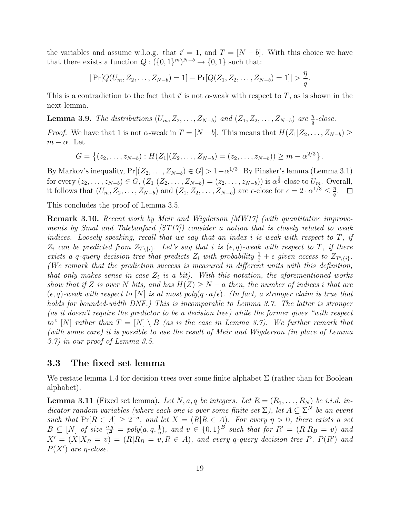the variables and assume w.l.o.g. that  $i' = 1$ , and  $T = [N - b]$ . With this choice we have that there exists a function  $Q: (\{0,1\}^m)^{N-b} \to \{0,1\}$  such that:

$$
|\Pr[Q(U_m, Z_2, \ldots, Z_{N-b}) = 1] - \Pr[Q(Z_1, Z_2, \ldots, Z_{N-b}) = 1]| > \frac{\eta}{q}.
$$

This is a contradiction to the fact that i' is not  $\alpha$ -weak with respect to T, as is shown in the next lemma.

**Lemma 3.9.** The distributions  $(U_m, Z_2, \ldots, Z_{N-b})$  and  $(Z_1, Z_2, \ldots, Z_{N-b})$  are  $\frac{\eta}{q}$ -close.

*Proof.* We have that 1 is not  $\alpha$ -weak in  $T = [N-b]$ . This means that  $H(Z_1|Z_2,\ldots,Z_{N-b}) \ge$  $m - \alpha$ . Let

$$
G = \{(z_2, \ldots, z_{N-b}) : H(Z_1 | (Z_2, \ldots, Z_{N-b}) = (z_2, \ldots, z_{N-b})) \ge m - \alpha^{2/3}\}.
$$

By Markov's inequality,  $Pr[(Z_2, \ldots, Z_{N-b}) \in G] > 1-\alpha^{1/3}$ . By Pinsker's lemma (Lemma 3.1) for every  $(z_2, \ldots, z_{N-b}) \in G$ ,  $(Z_1 | (Z_2, \ldots, Z_{N-b}) = (z_2, \ldots, z_{N-b})$  is  $\alpha^{\frac{1}{3}}$ -close to  $U_m$ . Overall, it follows that  $(U_m, Z_2, \ldots, Z_{N-b})$  and  $(Z_1, Z_2, \ldots, Z_{N-b})$  are  $\epsilon$ -close for  $\epsilon = 2 \cdot \alpha^{1/3} \leq \frac{\eta}{\alpha}$  $\frac{\eta}{q}.$ 

This concludes the proof of Lemma 3.5.

Remark 3.10. Recent work by Meir and Wigderson [MW17] (with quantitative improvements by Smal and Talebanfard [ST17]) consider a notion that is closely related to weak indices. Loosely speaking, recall that we say that an index i is weak with respect to  $T$ , if  $Z_i$  can be predicted from  $Z_{T\setminus\{i\}}$ . Let's say that i is  $(\epsilon, q)$ -weak with respect to T, if there exists a q-query decision tree that predicts  $Z_i$  with probability  $\frac{1}{2} + \epsilon$  given access to  $Z_{T\setminus\{i\}}$ . (We remark that the prediction success is measured in different units with this definition, that only makes sense in case  $Z_i$  is a bit). With this notation, the aforementioned works show that if Z is over N bits, and has  $H(Z) \geq N - a$  then, the number of indices i that are  $(\epsilon, q)$ -weak with respect to  $[N]$  is at most poly $(q \cdot a/\epsilon)$ . (In fact, a stronger claim is true that holds for bounded-width DNF.) This is incomparable to Lemma 3.7. The latter is stronger (as it doesn't require the predictor to be a decision tree) while the former gives "with respect to" [N] rather than  $T = [N] \setminus B$  (as is the case in Lemma 3.7). We further remark that (with some care) it is possible to use the result of Meir and Wigderson (in place of Lemma 3.7) in our proof of Lemma 3.5.

## 3.3 The fixed set lemma

We restate lemma 1.4 for decision trees over some finite alphabet  $\Sigma$  (rather than for Boolean alphabet).

**Lemma 3.11** (Fixed set lemma). Let N, a, q be integers. Let  $R = (R_1, \ldots, R_N)$  be i.i.d. indicator random variables (where each one is over some finite set  $\Sigma$ ), let  $A \subseteq \Sigma^N$  be an event such that  $Pr[R \in A] \geq 2^{-a}$ , and let  $X = (R|R \in A)$ . For every  $\eta > 0$ , there exists a set  $B \subseteq [N]$  of size  $\frac{a \cdot q}{\eta^2} = poly(a, q, \frac{1}{\eta})$ , and  $v \in \{0, 1\}^B$  such that for  $R' = (R | R_B = v)$  and  $X' = (X|X_B = v) = (R|R_B = v, R \in A)$ , and every q-query decision tree P,  $P(R')$  and  $P(X')$  are  $\eta$ -close.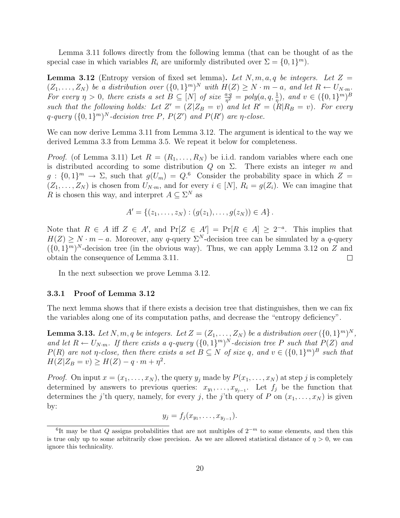Lemma 3.11 follows directly from the following lemma (that can be thought of as the special case in which variables  $R_i$  are uniformly distributed over  $\Sigma = \{0, 1\}^m$ ).

**Lemma 3.12** (Entropy version of fixed set lemma). Let  $N, m, a, q$  be integers. Let  $Z =$  $(Z_1, \ldots, Z_N)$  be a distribution over  $(\{0,1\}^m)^N$  with  $H(Z) \geq N \cdot m - a$ , and let  $R \leftarrow U_{N \cdot m}$ . For every  $\eta > 0$ , there exists a set  $B \subseteq [N]$  of size  $\frac{a \cdot q}{\eta^2} = poly(a, q, \frac{1}{n})$ , and  $v \in (\{0, 1\}^m)^B$ such that the following holds: Let  $Z' = (Z|Z_B = v)$  and let  $R' = (R|R_B = v)$ . For every q-query  $({0,1}^m)^N$ -decision tree P,  $P(Z')$  and  $P(R')$  are  $\eta$ -close.

We can now derive Lemma 3.11 from Lemma 3.12. The argument is identical to the way we derived Lemma 3.3 from Lemma 3.5. We repeat it below for completeness.

*Proof.* (of Lemma 3.11) Let  $R = (R_1, \ldots, R_N)$  be i.i.d. random variables where each one is distributed according to some distribution Q on  $\Sigma$ . There exists an integer m and  $g: \{0,1\}^m \to \Sigma$ , such that  $g(U_m) = Q^{6}$  Consider the probability space in which  $Z =$  $(Z_1, \ldots, Z_N)$  is chosen from  $U_{N,m}$ , and for every  $i \in [N]$ ,  $R_i = g(Z_i)$ . We can imagine that R is chosen this way, and interpret  $A \subseteq \Sigma^N$  as

$$
A' = \{(z_1, \ldots, z_N) : (g(z_1), \ldots, g(z_N)) \in A\}.
$$

Note that  $R \in A$  iff  $Z \in A'$ , and  $Pr[Z \in A'] = Pr[R \in A] \geq 2^{-a}$ . This implies that  $H(Z) \geq N \cdot m - a$ . Moreover, any q-query  $\Sigma^N$ -decision tree can be simulated by a q-query  $({0,1}^m)^N$ -decision tree (in the obvious way). Thus, we can apply Lemma 3.12 on Z and obtain the consequence of Lemma 3.11.  $\Box$ 

In the next subsection we prove Lemma 3.12.

#### 3.3.1 Proof of Lemma 3.12

The next lemma shows that if there exists a decision tree that distinguishes, then we can fix the variables along one of its computation paths, and decrease the "entropy deficiency".

**Lemma 3.13.** Let N, m, q be integers. Let  $Z = (Z_1, \ldots, Z_N)$  be a distribution over  $(\{0,1\}^m)^N$ , and let  $R \leftarrow U_{N-m}$ . If there exists a q-query  $({0,1})^m$ <sup>N</sup>-decision tree P such that  $P(Z)$  and  $P(R)$  are not  $\eta$ -close, then there exists a set  $B \subseteq N$  of size q, and  $v \in (\{0,1\}^m)^B$  such that  $H(Z|Z_B = v) \geq H(Z) - q \cdot m + \eta^2$ .

*Proof.* On input  $x = (x_1, \ldots, x_N)$ , the query  $y_j$  made by  $P(x_1, \ldots, x_N)$  at step j is completely determined by answers to previous queries:  $x_{y_1}, \ldots, x_{y_{j-1}}$ . Let  $f_j$  be the function that determines the j'th query, namely, for every j, the j'th query of P on  $(x_1, \ldots, x_N)$  is given by:

$$
y_j = f_j(x_{y_1},\ldots,x_{y_{j-1}}).
$$

<sup>&</sup>lt;sup>6</sup>It may be that Q assigns probabilities that are not multiples of  $2^{-m}$  to some elements, and then this is true only up to some arbitrarily close precision. As we are allowed statistical distance of  $\eta > 0$ , we can ignore this technicality.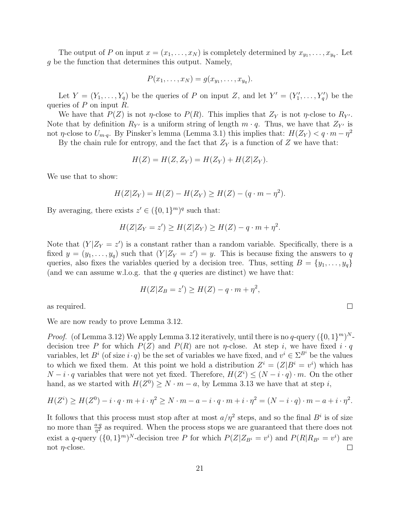The output of P on input  $x = (x_1, \ldots, x_N)$  is completely determined by  $x_{y_1}, \ldots, x_{y_q}$ . Let g be the function that determines this output. Namely,

$$
P(x_1,\ldots,x_N)=g(x_{y_1},\ldots,x_{y_q}).
$$

Let  $Y = (Y_1, \ldots, Y_q)$  be the queries of P on input Z, and let  $Y' = (Y'_1, \ldots, Y'_q)$  be the queries of  $P$  on input  $R$ .

We have that  $P(Z)$  is not  $\eta$ -close to  $P(R)$ . This implies that  $Z_Y$  is not  $\eta$ -close to  $R_{Y'}$ . Note that by definition  $R_{Y'}$  is a uniform string of length  $m \cdot q$ . Thus, we have that  $Z_{Y'}$  is not  $\eta$ -close to  $U_{m,q}$ . By Pinsker's lemma (Lemma 3.1) this implies that:  $H(Z_Y) < q \cdot m - \eta^2$ 

By the chain rule for entropy, and the fact that  $Z_Y$  is a function of Z we have that:

$$
H(Z) = H(Z, Z_Y) = H(Z_Y) + H(Z|Z_Y).
$$

We use that to show:

$$
H(Z|Z_Y) = H(Z) - H(Z_Y) \ge H(Z) - (q \cdot m - \eta^2).
$$

By averaging, there exists  $z' \in (\{0,1\}^m)^q$  such that:

$$
H(Z|Z_Y = z') \ge H(Z|Z_Y) \ge H(Z) - q \cdot m + \eta^2.
$$

Note that  $(Y|Z_Y = z')$  is a constant rather than a random variable. Specifically, there is a fixed  $y = (y_1, \ldots, y_q)$  such that  $(Y|Z_Y = z') = y$ . This is because fixing the answers to q queries, also fixes the variables queried by a decision tree. Thus, setting  $B = \{y_1, \ldots, y_q\}$ (and we can assume w.l.o.g. that the  $q$  queries are distinct) we have that:

$$
H(Z|Z_B = z') \ge H(Z) - q \cdot m + \eta^2,
$$

as required.

We are now ready to prove Lemma 3.12.

*Proof.* (of Lemma 3.12) We apply Lemma 3.12 iteratively, until there is no q-query  $({0, 1}^m)^N$ decision tree P for which  $P(Z)$  and  $P(R)$  are not  $\eta$ -close. At step i, we have fixed  $i \cdot q$ variables, let  $B^i$  (of size  $i \cdot q$ ) be the set of variables we have fixed, and  $v^i \in \Sigma^{B^i}$  be the values to which we fixed them. At this point we hold a distribution  $Z^{i} = (Z|B^{i} = v^{i})$  which has  $N-i \cdot q$  variables that were not yet fixed. Therefore,  $H(Z^i) \leq (N-i \cdot q) \cdot m$ . On the other hand, as we started with  $H(Z^0) \geq N \cdot m - a$ , by Lemma 3.13 we have that at step i,

$$
H(Zi) \ge H(Z0) - i \cdot q \cdot m + i \cdot \eta2 \ge N \cdot m - a - i \cdot q \cdot m + i \cdot \eta2 = (N - i \cdot q) \cdot m - a + i \cdot \eta2.
$$

It follows that this process must stop after at most  $a/\eta^2$  steps, and so the final  $B^i$  is of size no more than  $\frac{a \cdot q}{\eta^2}$  as required. When the process stops we are guaranteed that there does not exist a q-query  $({0, 1})^m$ <sup>N</sup>-decision tree P for which  $P(Z|Z_{B^i} = v^i)$  and  $P(R|R_{B^i} = v^i)$  are not  $\eta$ -close.  $\Box$ 

 $\Box$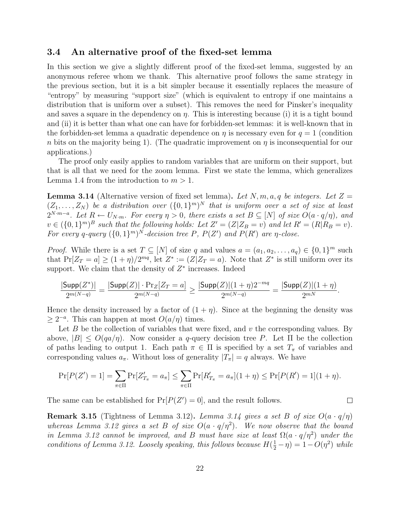## 3.4 An alternative proof of the fixed-set lemma

In this section we give a slightly different proof of the fixed-set lemma, suggested by an anonymous referee whom we thank. This alternative proof follows the same strategy in the previous section, but it is a bit simpler because it essentially replaces the measure of "entropy" by measuring "support size" (which is equivalent to entropy if one maintains a distribution that is uniform over a subset). This removes the need for Pinsker's inequality and saves a square in the dependency on  $\eta$ . This is interesting because (i) it is a tight bound and (ii) it is better than what one can have for forbidden-set lemmas: it is well-known that in the forbidden-set lemma a quadratic dependence on  $\eta$  is necessary even for  $q = 1$  (condition n bits on the majority being 1). (The quadratic improvement on  $\eta$  is inconsequential for our applications.)

The proof only easily applies to random variables that are uniform on their support, but that is all that we need for the zoom lemma. First we state the lemma, which generalizes Lemma 1.4 from the introduction to  $m > 1$ .

**Lemma 3.14** (Alternative version of fixed set lemma). Let N, m, a, q be integers. Let  $Z =$  $(Z_1, \ldots, Z_N)$  be a distribution over  $(\{0,1\}^m)^N$  that is uniform over a set of size at least  $2^{N \cdot m-a}$ . Let  $R \leftarrow U_{N \cdot m}$ . For every  $\eta > 0$ , there exists a set  $B \subseteq [N]$  of size  $O(a \cdot q/\eta)$ , and  $v \in (\{0,1\}^m)^B$  such that the following holds: Let  $Z' = (Z|Z_B = v)$  and let  $R' = (R|R_B = v)$ . For every q-query  $({0,1}^m)^N$ -decision tree P,  $P(Z')$  and  $P(R')$  are  $\eta$ -close.

*Proof.* While there is a set  $T \subseteq [N]$  of size q and values  $a = (a_1, a_2, \ldots, a_q) \in \{0, 1\}^m$  such that  $Pr[Z_T = a] \ge (1 + \eta)/2^{mq}$ , let  $Z^* := (Z|Z_T = a)$ . Note that  $Z^*$  is still uniform over its support. We claim that the density of  $Z^*$  increases. Indeed

$$
\frac{|\mathsf{Supp}(Z^*)|}{2^{m(N-q)}} = \frac{|\mathsf{Supp}(Z)| \cdot \Pr_Z[Z_T = a]}{2^{m(N-q)}} \geq \frac{|\mathsf{Supp}(Z)| (1+\eta) 2^{-mq}}{2^{m(N-q)}} = \frac{|\mathsf{Supp}(Z)| (1+\eta)}{2^{mN}}.
$$

Hence the density increased by a factor of  $(1 + \eta)$ . Since at the beginning the density was  $≥ 2<sup>-a</sup>$ . This can happen at most  $O(a/\eta)$  times.

Let B be the collection of variables that were fixed, and  $v$  the corresponding values. By above,  $|B| \leq O(qa/\eta)$ . Now consider a q-query decision tree P. Let  $\Pi$  be the collection of paths leading to output 1. Each path  $\pi \in \Pi$  is specified by a set  $T_{\pi}$  of variables and corresponding values  $a_{\pi}$ . Without loss of generality  $|T_{\pi}| = q$  always. We have

$$
\Pr[P(Z') = 1] = \sum_{\pi \in \Pi} \Pr[Z'_{T_{\pi}} = a_{\pi}] \le \sum_{\pi \in \Pi} \Pr[R'_{T_{\pi}} = a_{\pi}](1 + \eta) \le \Pr[P(R') = 1](1 + \eta).
$$

 $\Box$ 

The same can be established for  $Pr[P(Z') = 0]$ , and the result follows.

**Remark 3.15** (Tightness of Lemma 3.12). Lemma 3.14 gives a set B of size  $O(a \cdot q/\eta)$ whereas Lemma 3.12 gives a set B of size  $O(a \cdot q/\eta^2)$ . We now observe that the bound in Lemma 3.12 cannot be improved, and B must have size at least  $\Omega(a \cdot q/\eta^2)$  under the conditions of Lemma 3.12. Loosely speaking, this follows because  $H(\frac{1}{2} - \eta) = 1 - O(\eta^2)$  while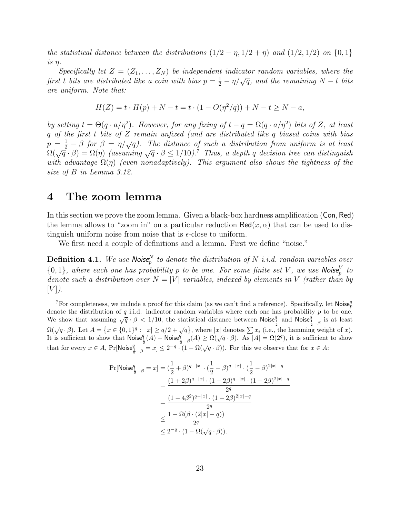the statistical distance between the distributions  $(1/2 - \eta, 1/2 + \eta)$  and  $(1/2, 1/2)$  on  $\{0, 1\}$ is η.

Specifically let  $Z = (Z_1, \ldots, Z_N)$  be independent indicator random variables, where the become that  $Z = (Z_1, \ldots, Z_N)$  be independent indicator random our dates, where the first t bits are distributed like a coin with bias  $p = \frac{1}{2} - \eta/\sqrt{q}$ , and the remaining  $N - t$  bits are uniform. Note that:

$$
H(Z) = t \cdot H(p) + N - t = t \cdot (1 - O(\eta^2/q)) + N - t \ge N - a,
$$

by setting  $t = \Theta(q \cdot a/\eta^2)$ . However, for any fixing of  $t - q = \Omega(q \cdot a/\eta^2)$  bits of Z, at least q of the first t bits of Z remain unfixed (and are distributed like q biased coins with bias  $p = \frac{1}{2} - \beta$  for  $\beta = \eta/\sqrt{q}$ . The distance of such a distribution from uniform is at least  $\Omega(\sqrt{q} \cdot \beta) = \Omega(\eta)$  (assuming  $\sqrt{q} \cdot \beta \leq 1/10$ ).<sup>7</sup> Thus, a depth q decision tree can distinguish with advantage  $\Omega(\eta)$  (even nonadaptively). This argument also shows the tightness of the size of B in Lemma 3.12.

## 4 The zoom lemma

In this section we prove the zoom lemma. Given a black-box hardness amplification (Con, Red) the lemma allows to "zoom in" on a particular reduction  $\text{Red}(x, \alpha)$  that can be used to distinguish uniform noise from noise that is  $\epsilon$ -close to uniform.

We first need a couple of definitions and a lemma. First we define "noise."

**Definition 4.1.** We use Noise<sub>p</sub><sup>N</sup> to denote the distribution of N i.i.d. random variables over  $\{0,1\}$ , where each one has probability p to be one. For some finite set V, we use Noise $_V^V$  to denote such a distribution over  $N = |V|$  variables, indexed by elements in V (rather than by  $[V]$ ).

$$
\begin{aligned} \Pr[\text{Noise}_{\frac{1}{2}-\beta}^q = x] &= (\frac{1}{2}+\beta)^{q-|x|} \cdot (\frac{1}{2}-\beta)^{q-|x|} \cdot (\frac{1}{2}-\beta)^{2|x|-q} \\ &= \frac{(1+2\beta)^{q-|x|} \cdot (1-2\beta)^{q-|x|} \cdot (1-2\beta)^{2|x|-q}}{2^q} \\ &= \frac{(1-4\beta^2)^{q-|x|} \cdot (1-2\beta)^{2|x|-q}}{2^q} \\ &\leq \frac{1-\Omega(\beta \cdot (2|x|-q))}{2^q} \\ &\leq 2^{-q} \cdot (1-\Omega(\sqrt{q}\cdot \beta)). \end{aligned}
$$

<sup>&</sup>lt;sup>7</sup>For completeness, we include a proof for this claim (as we can't find a reference). Specifically, let Noise<sub>p</sub> denote the distribution of  $q$  i.i.d. indicator random variables where each one has probability  $p$  to be one. We show that assuming  $\sqrt{q} \cdot \beta < 1/10$ , the statistical distance between Noise $\frac{q}{2}$  and Noise $\frac{q}{2}$  is at least  $\Omega(\sqrt{q}\cdot\beta)$ . Let  $A = \{x \in \{0,1\}^q : |x| \ge q/2 + \sqrt{q}\}$ , where |x| denotes  $\sum x_i$  (i.e., the hamming weight of x). It is sufficient to show that  $\mathsf{Noise}_{\frac{1}{2}}^q(A) - \mathsf{Noise}_{\frac{1}{2} - \beta}^q(A) \ge \Omega(\sqrt{q} \cdot \beta)$ . As  $|A| = \Omega(2^q)$ , it is sufficient to show that for every  $x \in A$ , Pr[Noise $\frac{q}{\frac{1}{2} - \beta} = x$ ]  $\leq 2^{-q} \cdot (1 - \Omega(\sqrt{q} \cdot \beta))$ . For this we observe that for  $x \in A$ :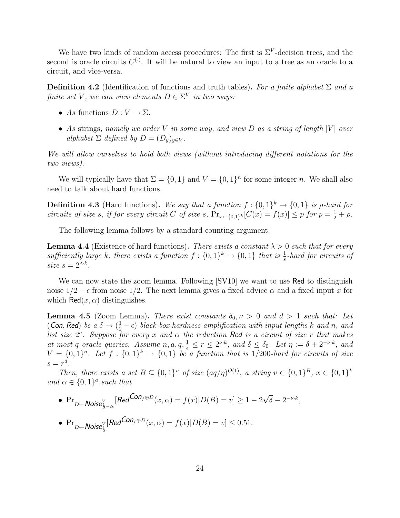We have two kinds of random access procedures: The first is  $\Sigma^V$ -decision trees, and the second is oracle circuits  $C^{(\cdot)}$ . It will be natural to view an input to a tree as an oracle to a circuit, and vice-versa.

**Definition 4.2** (Identification of functions and truth tables). For a finite alphabet  $\Sigma$  and a finite set V, we can view elements  $D \in \Sigma^V$  in two ways:

- As functions  $D: V \to \Sigma$ .
- As strings, namely we order V in some way, and view D as a string of length  $|V|$  over alphabet  $\Sigma$  defined by  $D = (D_y)_{y \in V}$ .

We will allow ourselves to hold both views (without introducing different notations for the two views).

We will typically have that  $\Sigma = \{0, 1\}$  and  $V = \{0, 1\}^n$  for some integer n. We shall also need to talk about hard functions.

**Definition 4.3** (Hard functions). We say that a function  $f: \{0,1\}^k \rightarrow \{0,1\}$  is  $\rho$ -hard for circuits of size s, if for every circuit C of size s,  $Pr_{x \leftarrow \{0,1\}^k}[C(x) = f(x)] \leq p$  for  $p = \frac{1}{2} + \rho$ .

The following lemma follows by a standard counting argument.

**Lemma 4.4** (Existence of hard functions). There exists a constant  $\lambda > 0$  such that for every sufficiently large k, there exists a function  $f: \{0,1\}^k \to \{0,1\}$  that is  $\frac{1}{s}$ -hard for circuits of size  $s = 2^{\lambda \cdot k}$ .

We can now state the zoom lemma. Following  $SVI0$  we want to use Red to distinguish noise  $1/2 - \epsilon$  from noise  $1/2$ . The next lemma gives a fixed advice  $\alpha$  and a fixed input x for which  $\text{Red}(x,\alpha)$  distinguishes.

**Lemma 4.5** (Zoom Lemma). There exist constants  $\delta_0, \nu > 0$  and  $d > 1$  such that: Let (Con, Red) be a  $\delta \to (\frac{1}{2} - \epsilon)$  black-box hardness amplification with input lengths k and n, and list size  $2^a$ . Suppose for every x and  $\alpha$  the reduction Red is a circuit of size r that makes at most q oracle queries. Assume  $n, a, q, \frac{1}{\epsilon} \leq r \leq 2^{\nu \cdot k}$ , and  $\delta \leq \delta_0$ . Let  $\eta := \delta + 2^{-\nu \cdot k}$ , and  $V = \{0,1\}^n$ . Let  $f : \{0,1\}^k \to \{0,1\}$  be a function that is 1/200-hard for circuits of size  $s=r^d$ .

Then, there exists a set  $B \subseteq \{0,1\}^n$  of size  $(aq/\eta)^{O(1)}$ , a string  $v \in \{0,1\}^B$ ,  $x \in \{0,1\}^k$ and  $\alpha \in \{0,1\}^a$  such that

\n- $$
\Pr_{D \leftarrow \text{Noise}_{\frac{1}{2}-2\epsilon}^V}[\text{Red}^{\text{Con}_{f} \oplus D}(x, \alpha) = f(x)|D(B) = v] \ge 1 - 2\sqrt{\delta} - 2^{-\nu \cdot k},
$$
\n- $\Pr_{D \leftarrow \text{Noise}_{\frac{1}{2}}^V}[\text{Red}^{\text{Con}_{f} \oplus D}(x, \alpha) = f(x)|D(B) = v] \le 0.51.$
\n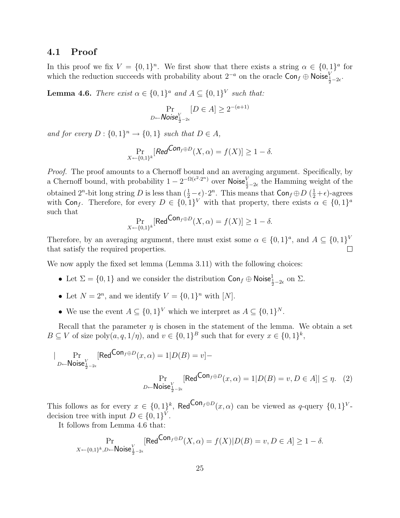#### 4.1 Proof

In this proof we fix  $V = \{0,1\}^n$ . We first show that there exists a string  $\alpha \in \{0,1\}^a$  for which the reduction succeeds with probability about  $2^{-a}$  on the oracle  $\textsf{Con}_f \oplus \textsf{Noise}_{\frac{1}{2}-2\epsilon}^V$ .

**Lemma 4.6.** There exist  $\alpha \in \{0,1\}^a$  and  $A \subseteq \{0,1\}^V$  such that:

$$
\Pr_{D \leftarrow \text{Noise}_{\frac{1}{2}-2\epsilon}^{V}} [D \in A] \ge 2^{-(a+1)}
$$

and for every  $D: \{0,1\}^n \to \{0,1\}$  such that  $D \in A$ ,

$$
\Pr_{X \leftarrow \{0,1\}^k}[\text{Red}^{\text{Con}_f \oplus D}(X,\alpha) = f(X)] \ge 1 - \delta.
$$

Proof. The proof amounts to a Chernoff bound and an averaging argument. Specifically, by a Chernoff bound, with probability  $1 - 2^{-\Omega(\epsilon^2 \cdot 2^n)}$  over Noise $\frac{V}{\frac{1}{2} - 2\epsilon}$  the Hamming weight of the obtained  $2^n$ -bit long string D is less than  $(\frac{1}{2}-\epsilon)\cdot 2^n$ . This means that  $\textsf{Con}_f \oplus D$   $(\frac{1}{2}+\epsilon)$ -agrees with Con<sub>f</sub>. Therefore, for every  $D \in \{0,1\}^V$  with that property, there exists  $\alpha \in \{0,1\}^a$ such that

$$
\Pr_{X \leftarrow \{0,1\}^k}[\text{Red}^{\text{Con}_f \oplus D}(X,\alpha) = f(X)] \ge 1 - \delta.
$$

Therefore, by an averaging argument, there must exist some  $\alpha \in \{0,1\}^a$ , and  $A \subseteq \{0,1\}^V$ that satisfy the required properties. П

We now apply the fixed set lemma (Lemma 3.11) with the following choices:

- Let  $\Sigma = \{0, 1\}$  and we consider the distribution  $\textsf{Con}_f \oplus \textsf{Noise}^1_{\frac{1}{2}-2\epsilon}$  on  $\Sigma$ .
- Let  $N = 2^n$ , and we identify  $V = \{0, 1\}^n$  with  $[N]$ .
- We use the event  $A \subseteq \{0,1\}^V$  which we interpret as  $A \subseteq \{0,1\}^N$ .

Recall that the parameter  $\eta$  is chosen in the statement of the lemma. We obtain a set  $B \subseteq V$  of size poly $(a, q, 1/\eta)$ , and  $v \in \{0, 1\}^B$  such that for every  $x \in \{0, 1\}^k$ ,

$$
|\Pr_{D \leftarrow \text{Noise}_{\frac{1}{2}-2\epsilon}^{V}}[\text{Red}^{\text{Con}_{f} \oplus D}(x, \alpha) = 1 | D(B) = v] -
$$
\n
$$
\Pr_{D \leftarrow \text{Noise}_{\frac{1}{2}-2\epsilon}^{V}}[\text{Red}^{\text{Con}_{f} \oplus D}(x, \alpha) = 1 | D(B) = v, D \in A]| \le \eta. \quad (2)
$$

This follows as for every  $x \in \{0,1\}^k$ , Red<sup>Con<sub>f</sub> $\oplus D(x,\alpha)$  can be viewed as q-query  $\{0,1\}^V$ -</sup> decision tree with input  $D \in \{0,1\}^V$ .

It follows from Lemma 4.6 that:

$$
\Pr_{X \leftarrow \{0,1\}^k, D \leftarrow \textsf{Noise}_{\frac{1}{2}-2\epsilon}^V}[\textsf{Red}^{\textsf{Con}_{f} \oplus D}(X, \alpha) = f(X)|D(B) = v, D \in A] \ge 1-\delta.
$$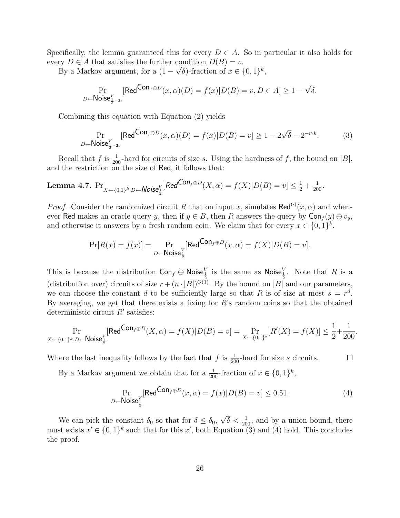Specifically, the lemma guaranteed this for every  $D \in A$ . So in particular it also holds for every  $D \in A$  that satisfies the further condition  $D(B) = v$ .

By a Markov argument, for a  $(1 - \sqrt{\delta})$ -fraction of  $x \in \{0,1\}^k$ ,

$$
\Pr_{D \leftarrow \text{Noise}_{\frac{1}{2}-2\epsilon}^V}[\text{Red}^{\text{Con}_{f} \oplus D}(x,\alpha)(D) = f(x)|D(B) = v, D \in A] \ge 1 - \sqrt{\delta}.
$$

Combining this equation with Equation (2) yields

$$
\Pr_{D \leftarrow \text{Noise}_{\frac{1}{2}-2\epsilon}^{V}}[\text{Red}^{\text{Con}_{f} \oplus D}(x,\alpha)(D) = f(x)|D(B) = v] \ge 1 - 2\sqrt{\delta} - 2^{-\nu \cdot k}.
$$
 (3)

Recall that f is  $\frac{1}{200}$ -hard for circuits of size s. Using the hardness of f, the bound on  $|B|$ , and the restriction on the size of Red, it follows that:

**Lemma 4.7.** 
$$
\Pr_{X \leftarrow \{0,1\}^k, D \leftarrow \text{Noise}_{\frac{1}{2}}^V}[\text{Red}^{\text{Con}_f \oplus D}(X, \alpha) = f(X)|D(B) = v] \le \frac{1}{2} + \frac{1}{200}.
$$

*Proof.* Consider the randomized circuit R that on input x, simulates Red<sup>(.)</sup> $(x, \alpha)$  and whenever Red makes an oracle query y, then if  $y \in B$ , then R answers the query by  $Con_f(y) \oplus v_y$ , and otherwise it answers by a fresh random coin. We claim that for every  $x \in \{0,1\}^k$ ,

$$
\Pr[R(x) = f(x)] = \Pr_{D \leftarrow \text{Noise}_{\frac{1}{2}}^V}[\text{Red}^{\text{Con}_{f} \oplus D}(x, \alpha) = f(X)|D(B) = v].
$$

This is because the distribution  $\mathsf{Con}_f \oplus \mathsf{Noise}^V_{\frac{1}{2}}$  is the same as  $\mathsf{Noise}^V_{\frac{1}{2}}$ . Note that R is a (distribution over) circuits of size  $r + (n \cdot |B|)^{O(1)}$ . By the bound on |B| and our parameters, we can choose the constant d to be sufficiently large so that R is of size at most  $s = r<sup>d</sup>$ . By averaging, we get that there exists a fixing for  $R$ 's random coins so that the obtained deterministic circuit  $R'$  satisfies:

$$
\Pr_{X \leftarrow \{0,1\}^k, D \leftarrow \textsf{Noise}^V_{\frac{1}{2}}}[\textsf{Red}^{\textsf{Con}_f \oplus D}(X, \alpha) = f(X)|D(B) = v] = \Pr_{X \leftarrow \{0,1\}^k}[R'(X) = f(X)] \le \frac{1}{2} + \frac{1}{200}
$$

Where the last inequality follows by the fact that  $f$  is  $\frac{1}{200}$ -hard for size s circuits.  $\Box$ 

By a Markov argument we obtain that for a  $\frac{1}{200}$ -fraction of  $x \in \{0,1\}^k$ ,

$$
\Pr_{D \leftarrow \text{Noise}_{\frac{1}{2}}^{\text{V}}}[\text{Red}^{\text{Con}_{f} \oplus D}(x,\alpha) = f(x)|D(B) = v] \le 0.51. \tag{4}
$$

.

We can pick the constant  $\delta_0$  so that for  $\delta \leq \delta_0$ , √  $\delta < \frac{1}{200}$ , and by a union bound, there must exists  $x' \in \{0,1\}^k$  such that for this x', both Equation (3) and (4) hold. This concludes the proof.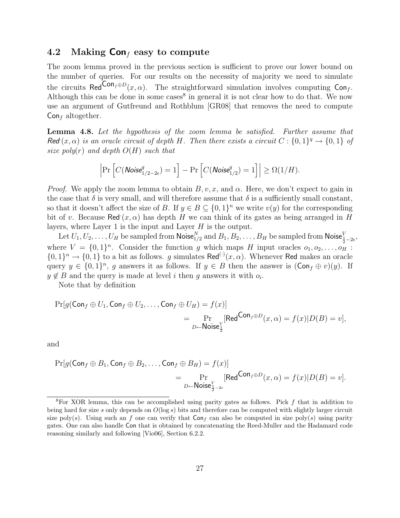## 4.2 Making  $\text{Con}_{f}$  easy to compute

The zoom lemma proved in the previous section is sufficient to prove our lower bound on the number of queries. For our results on the necessity of majority we need to simulate the circuits  $\text{Red}^{\text{Con}_f \oplus D}(x, \alpha)$ . The straightforward simulation involves computing  $\text{Con}_f$ . Although this can be done in some cases<sup>8</sup> in general it is not clear how to do that. We now use an argument of Gutfreund and Rothblum [GR08] that removes the need to compute  $Con<sub>f</sub>$  altogether.

Lemma 4.8. Let the hypothesis of the zoom lemma be satisfied. Further assume that Red  $(x, \alpha)$  is an oracle circuit of depth H. Then there exists a circuit  $C: \{0,1\}^q \to \{0,1\}$  of size poly(r) and depth  $O(H)$  such that

$$
\left|\Pr\left[C(\textit{Noise}_{1/2-2\epsilon}^q)=1\right]-\Pr\left[C(\textit{Noise}_{1/2}^q)=1\right]\right|\geq \Omega(1/H).
$$

*Proof.* We apply the zoom lemma to obtain  $B, v, x$ , and  $\alpha$ . Here, we don't expect to gain in the case that  $\delta$  is very small, and will therefore assume that  $\delta$  is a sufficiently small constant, so that it doesn't affect the size of B. If  $y \in B \subseteq \{0,1\}^n$  we write  $v(y)$  for the corresponding bit of v. Because Red $(x, \alpha)$  has depth H we can think of its gates as being arranged in H layers, where Layer 1 is the input and Layer  $H$  is the output.

Let  $U_1,U_2,\ldots,U_H$  be sampled from  $\mathsf{Noise}_{1/2}^N$  and  $B_1,B_2,\ldots,B_H$  be sampled from  $\mathsf{Noise}_{\frac{1}{2}-2\epsilon}^V,$ where  $V = \{0,1\}^n$ . Consider the function g which maps H input oracles  $o_1, o_2, \ldots, o_H$ :  $\{0,1\}^n \to \{0,1\}$  to a bit as follows. g simulates Red<sup>(·)</sup>(x, \alpha). Whenever Red makes an oracle query  $y \in \{0,1\}^n$ , g answers it as follows. If  $y \in B$  then the answer is  $(\text{Con}_f \oplus v)(y)$ . If  $y \notin B$  and the query is made at level i then g answers it with  $o_i$ .

Note that by definition

$$
\Pr[g(\mathsf{Con}_f \oplus U_1, \mathsf{Con}_f \oplus U_2, \dots, \mathsf{Con}_f \oplus U_H) = f(x)]
$$
  
= 
$$
\Pr_{D \leftarrow \mathsf{Noise}_\frac{1}{2}^V}[\mathsf{Red}^{\mathsf{Con}_f \oplus D}(x, \alpha) = f(x)|D(B) = v],
$$

and

$$
\Pr[g(\mathsf{Con}_f \oplus B_1, \mathsf{Con}_f \oplus B_2, \dots, \mathsf{Con}_f \oplus B_H) = f(x)]
$$
  
= 
$$
\Pr_{D \leftarrow \mathsf{Noise}_{\frac{1}{2}-2\epsilon}^V}[\mathsf{Red}^{\mathsf{Con}_f \oplus D}(x, \alpha) = f(x)|D(B) = v].
$$

<sup>&</sup>lt;sup>8</sup>For XOR lemma, this can be accomplished using parity gates as follows. Pick f that in addition to being hard for size s only depends on  $O(\log s)$  bits and therefore can be computed with slightly larger circuit size poly(s). Using such an f one can verify that  $Con_f$  can also be computed in size poly(s) using parity gates. One can also handle Con that is obtained by concatenating the Reed-Muller and the Hadamard code reasoning similarly and following [Vio06], Section 6.2.2.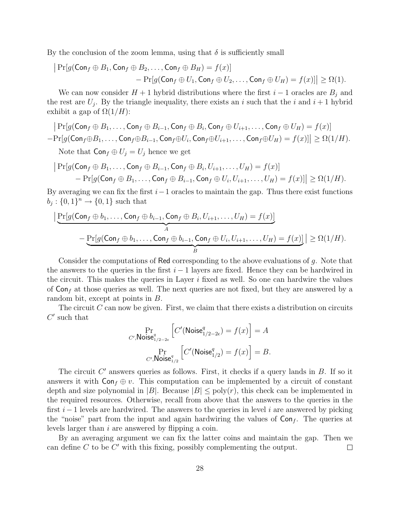By the conclusion of the zoom lemma, using that  $\delta$  is sufficiently small

 $\bigg\}$ 

$$
\begin{aligned} \left| \Pr[g(\mathsf{Con}_f \oplus B_1, \mathsf{Con}_f \oplus B_2, \dots, \mathsf{Con}_f \oplus B_H) = f(x)] \\ &- \Pr[g(\mathsf{Con}_f \oplus U_1, \mathsf{Con}_f \oplus U_2, \dots, \mathsf{Con}_f \oplus U_H) = f(x)] \right| \ge \Omega(1). \end{aligned}
$$

We can now consider  $H + 1$  hybrid distributions where the first  $i - 1$  oracles are  $B_j$  and the rest are  $U_j$ . By the triangle inequality, there exists an i such that the i and  $i+1$  hybrid exhibit a gap of  $\Omega(1/H)$ :

$$
\begin{aligned}\n& \left| \Pr[g(\mathsf{Con}_f \oplus B_1, \dots, \mathsf{Con}_f \oplus B_{i-1}, \mathsf{Con}_f \oplus B_i, \mathsf{Con}_f \oplus U_{i+1}, \dots, \mathsf{Con}_f \oplus U_H) = f(x) \right| \\
& \left| -\Pr[g(\mathsf{Con}_f \oplus B_1, \dots, \mathsf{Con}_f \oplus B_{i-1}, \mathsf{Con}_f \oplus U_i, \mathsf{Con}_f \oplus U_{i+1}, \dots, \mathsf{Con}_f \oplus U_H) = f(x)] \right| \ge \Omega(1/H).\n\end{aligned}
$$
\nNote that  $\text{Con}_f \oplus U_j = U_j$  hence we get

$$
\begin{aligned} \left| \Pr[g(\mathsf{Con}_f \oplus B_1, \dots, \mathsf{Con}_f \oplus B_{i-1}, \mathsf{Con}_f \oplus B_i, U_{i+1}, \dots, U_H) = f(x)] \\ &- \Pr[g(\mathsf{Con}_f \oplus B_1, \dots, \mathsf{Con}_f \oplus B_{i-1}, \mathsf{Con}_f \oplus U_i, U_{i+1}, \dots, U_H) = f(x)] \right| \ge \Omega(1/H). \end{aligned}
$$

By averaging we can fix the first  $i-1$  oracles to maintain the gap. Thus there exist functions  $b_j: \{0,1\}^n \to \{0,1\}$  such that

$$
\left| \underbrace{\Pr[g(\mathsf{Con}_{f} \oplus b_{1}, \ldots, \mathsf{Con}_{f} \oplus b_{i-1}, \mathsf{Con}_{f} \oplus B_{i}, U_{i+1}, \ldots, U_{H})}_{A} = f(x) \right|
$$
\n
$$
- \underbrace{\Pr[g(\mathsf{Con}_{f} \oplus b_{1}, \ldots, \mathsf{Con}_{f} \oplus b_{i-1}, \mathsf{Con}_{f} \oplus U_{i}, U_{i+1}, \ldots, U_{H})}_{B} = f(x) \right| \geq \Omega(1/H).
$$

Consider the computations of Red corresponding to the above evaluations of  $q$ . Note that the answers to the queries in the first  $i - 1$  layers are fixed. Hence they can be hardwired in the circuit. This makes the queries in Layer  $i$  fixed as well. So one can hardwire the values of  $\textsf{Con}_f$  at those queries as well. The next queries are not fixed, but they are answered by a random bit, except at points in B.

The circuit  $C$  can now be given. First, we claim that there exists a distribution on circuits  $C^{\prime}$  such that

$$
\Pr_{C',\mathsf{Noise}_{1/2-2\epsilon}^q} \left[ C'(\mathsf{Noise}_{1/2-2\epsilon}^q) = f(x) \right] = A
$$

$$
\Pr_{C',\mathsf{Noise}_{1/2}^q} \left[ C'(\mathsf{Noise}_{1/2}^q) = f(x) \right] = B.
$$

The circuit  $C'$  answers queries as follows. First, it checks if a query lands in  $B$ . If so it answers it with  $Con_f \oplus v$ . This computation can be implemented by a circuit of constant depth and size polynomial in |B|. Because  $|B| \leq \text{poly}(r)$ , this check can be implemented in the required resources. Otherwise, recall from above that the answers to the queries in the first  $i-1$  levels are hardwired. The answers to the queries in level i are answered by picking the "noise" part from the input and again hardwiring the values of  $Con_f$ . The queries at levels larger than i are answered by flipping a coin.

By an averaging argument we can fix the latter coins and maintain the gap. Then we can define  $C$  to be  $C'$  with this fixing, possibly complementing the output.  $\Box$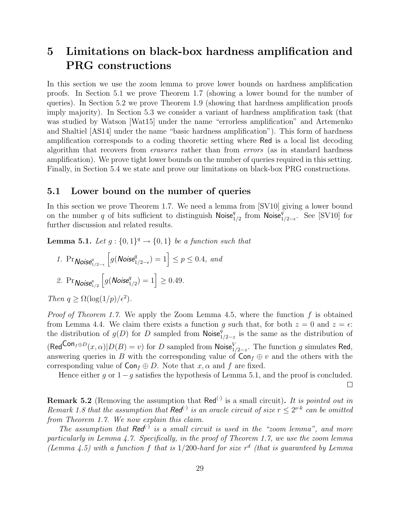# 5 Limitations on black-box hardness amplification and PRG constructions

In this section we use the zoom lemma to prove lower bounds on hardness amplification proofs. In Section 5.1 we prove Theorem 1.7 (showing a lower bound for the number of queries). In Section 5.2 we prove Theorem 1.9 (showing that hardness amplification proofs imply majority). In Section 5.3 we consider a variant of hardness amplification task (that was studied by Watson [Wat15] under the name "errorless amplification" and Artemenko and Shaltiel [AS14] under the name "basic hardness amplification"). This form of hardness amplification corresponds to a coding theoretic setting where Red is a local list decoding algorithm that recovers from erasures rather than from errors (as in standard hardness amplification). We prove tight lower bounds on the number of queries required in this setting. Finally, in Section 5.4 we state and prove our limitations on black-box PRG constructions.

## 5.1 Lower bound on the number of queries

In this section we prove Theorem 1.7. We need a lemma from [SV10] giving a lower bound on the number q of bits sufficient to distinguish  $\mathsf{Noise}_{1/2}^q$  from  $\mathsf{Noise}_{1/2-\epsilon}^q$ . See [SV10] for further discussion and related results.

**Lemma 5.1.** Let  $g: \{0,1\}^q \rightarrow \{0,1\}$  be a function such that

\n- 1. 
$$
\Pr_{\text{Noise}_{1/2-\epsilon}^{q}} \left[ g(\text{Noise}_{1/2-\epsilon}^{q}) = 1 \right] \leq p \leq 0.4
$$
, and
\n- 2.  $\Pr_{\text{Noise}_{1/2}^{q}} \left[ g(\text{Noise}_{1/2}^{q}) = 1 \right] \geq 0.49$ .
\n

Then  $q \geq \Omega(\log(1/p)/\epsilon^2)$ .

*Proof of Theorem 1.7.* We apply the Zoom Lemma 4.5, where the function  $f$  is obtained from Lemma 4.4. We claim there exists a function g such that, for both  $z = 0$  and  $z = \epsilon$ : the distribution of  $g(D)$  for D sampled from Noise $\frac{q}{1/2-z}$  is the same as the distribution of  $(\text{Red}^{\text{Con}_{f} \oplus D}(x, \alpha)|D(B) = v)$  for D sampled from Noise $_{1/2-z}^{V}$ . The function g simulates Red, answering queries in B with the corresponding value of  $\text{Con}_{f} \oplus v$  and the others with the corresponding value of  $\text{Con}_f \oplus D$ . Note that  $x, \alpha$  and f are fixed.

Hence either g or  $1-g$  satisfies the hypothesis of Lemma 5.1, and the proof is concluded.

 $\Box$ 

**Remark 5.2** (Removing the assumption that  $\text{Red}^{(\cdot)}$  is a small circuit). It is pointed out in Remark 1.8 that the assumption that Red<sup>(.)</sup> is an oracle circuit of size  $r \leq 2^{\nu \cdot k}$  can be omitted from Theorem 1.7. We now explain this claim.

The assumption that  $\text{Red}^{(.)}$  is a small circuit is used in the "zoom lemma", and more particularly in Lemma 4.7. Specifically, in the proof of Theorem 1.7, we use the zoom lemma (Lemma 4.5) with a function f that is  $1/200$ -hard for size  $r<sup>d</sup>$  (that is guaranteed by Lemma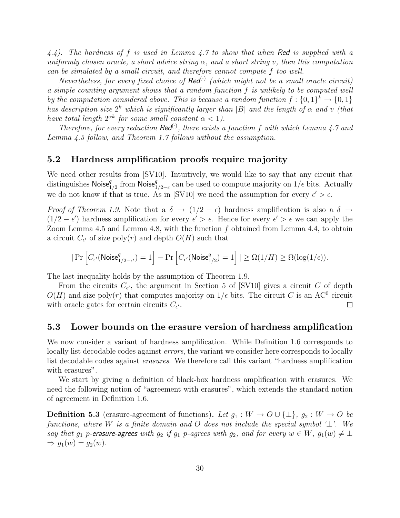4.4). The hardness of f is used in Lemma 4.7 to show that when Red is supplied with a uniformly chosen oracle, a short advice string  $\alpha$ , and a short string v, then this computation can be simulated by a small circuit, and therefore cannot compute f too well.

Nevertheless, for every fixed choice of  $\text{Red}^{(\cdot)}$  (which might not be a small oracle circuit) a simple counting argument shows that a random function f is unlikely to be computed well by the computation considered above. This is because a random function  $f: \{0,1\}^k \to \{0,1\}$ has description size  $2^k$  which is significantly larger than |B| and the length of  $\alpha$  and v (that have total length  $2^{\alpha k}$  for some small constant  $\alpha < 1$ ).

Therefore, for every reduction  $\text{Red}^{(1)}$ , there exists a function f with which Lemma 4.7 and Lemma 4.5 follow, and Theorem 1.7 follows without the assumption.

## 5.2 Hardness amplification proofs require majority

We need other results from [SV10]. Intuitively, we would like to say that any circuit that distinguishes Noise ${}^q_{1/2}$  from Noise ${}^q_{1/2-\epsilon}$  can be used to compute majority on  $1/\epsilon$  bits. Actually we do not know if that is true. As in [SV10] we need the assumption for every  $\epsilon' > \epsilon$ .

Proof of Theorem 1.9. Note that a  $\delta \to (1/2 - \epsilon)$  hardness amplification is also a  $\delta \to$  $(1/2 - \epsilon')$  hardness amplification for every  $\epsilon' > \epsilon$ . Hence for every  $\epsilon' > \epsilon$  we can apply the Zoom Lemma 4.5 and Lemma 4.8, with the function f obtained from Lemma 4.4, to obtain a circuit  $C_{\epsilon'}$  of size  $\text{poly}(r)$  and depth  $O(H)$  such that

$$
|\Pr\left[C_{\epsilon'}(\mathsf{Noise}^q_{1/2-\epsilon'})=1\right]-\Pr\left[C_{\epsilon'}(\mathsf{Noise}^q_{1/2})=1\right]|\ge \Omega(1/H)\ge \Omega(\log(1/\epsilon)).
$$

The last inequality holds by the assumption of Theorem 1.9.

From the circuits  $C_{\epsilon'}$ , the argument in Section 5 of [SV10] gives a circuit C of depth  $O(H)$  and size poly(r) that computes majority on  $1/\epsilon$  bits. The circuit C is an AC<sup>0</sup> circuit with oracle gates for certain circuits  $C_{\epsilon'}$ .  $\Box$ 

### 5.3 Lower bounds on the erasure version of hardness amplification

We now consider a variant of hardness amplification. While Definition 1.6 corresponds to locally list decodable codes against errors, the variant we consider here corresponds to locally list decodable codes against erasures. We therefore call this variant "hardness amplification with erasures".

We start by giving a definition of black-box hardness amplification with erasures. We need the following notion of "agreement with erasures", which extends the standard notion of agreement in Definition 1.6.

**Definition 5.3** (erasure-agreement of functions). Let  $g_1 : W \to O \cup \{\perp\}$ ,  $g_2 : W \to O$  be functions, where W is a finite domain and O does not include the special symbol  $\perp$ . We say that  $g_1$  p-erasure-agrees with  $g_2$  if  $g_1$  p-agrees with  $g_2$ , and for every  $w \in W$ ,  $g_1(w) \neq \perp$  $\Rightarrow$   $q_1(w) = q_2(w)$ .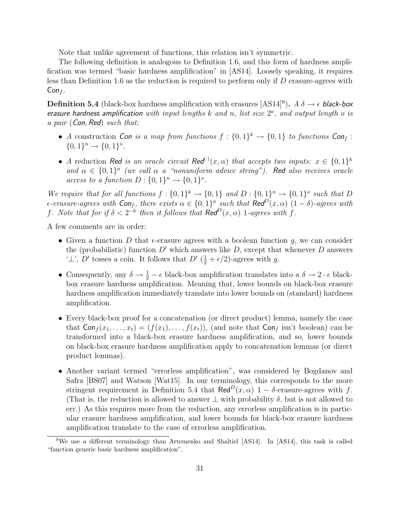Note that unlike agreement of functions, this relation isn't symmetric.

The following definition is analogous to Definition 1.6, and this form of hardness amplification was termed "basic hardness amplification" in [AS14]. Loosely speaking, it requires less than Definition 1.6 as the reduction is required to perform only if D erasure-agrees with  $Con<sub>f</sub>$ .

**Definition 5.4** (black-box hardness amplification with erasures [AS14]<sup>9</sup>).  $A \delta \rightarrow \epsilon$  black-box erasure hardness amplification with input lengths  $k$  and  $n$ , list size  $2<sup>a</sup>$ , and output length o is a pair (Con, Red) such that:

- A construction Con is a map from functions  $f: \{0,1\}^k \to \{0,1\}$  to functions Conf:  ${0,1}^n \rightarrow {0,1}^o.$
- A reduction Red is an oracle circuit Red<sup>(·)</sup> $(x, \alpha)$  that accepts two inputs:  $x \in \{0,1\}^k$ and  $\alpha \in \{0,1\}^a$  (we call  $\alpha$  a "nonuniform advice string"). Red also receives oracle access to a function  $D: \{0,1\}^n \to \{0,1\}^o$ .

We require that for all functions  $f: \{0,1\}^k \to \{0,1\}$  and  $D: \{0,1\}^n \to \{0,1\}^o$  such that D  $\epsilon$ -erasure-agrees with  $\mathsf{Con}_f$ , there exists  $\alpha \in \{0,1\}^a$  such that  $\mathsf{Red}^D(x,\alpha)$   $(1-\delta)$ -agrees with f. Note that for if  $\delta < 2^{-k}$  then it follows that  $\text{Red}^D(x, \alpha)$  1-agrees with f.

A few comments are in order:

- Given a function D that  $\epsilon$ -erasure agrees with a boolean function g, we can consider the (probabilistic) function  $D'$  which answers like D, except that whenever D answers ' $\perp$ ', D' tosses a coin. It follows that D'  $(\frac{1}{2} + \epsilon/2)$ -agrees with g.
- Consequently, any  $\delta \to \frac{1}{2} \epsilon$  black-box amplification translates into a  $\delta \to 2 \cdot \epsilon$  blackbox erasure hardness amplification. Meaning that, lower bounds on black-box erasure hardness amplification immediately translate into lower bounds on (standard) hardness amplification.
- Every black-box proof for a concatenation (or direct product) lemma, namely the case that  $\textsf{Con}_f(x_1, \ldots, x_t) = (f(x_1), \ldots, f(x_t)),$  (and note that  $\textsf{Con}_f$  isn't boolean) can be transformed into a black-box erasure hardness amplification, and so, lower bounds on black-box erasure hardness amplification apply to concatenation lemmas (or direct product lemmas).
- Another variant termed "errorless amplification", was considered by Bogdanov and Safra [BS07] and Watson [Wat15]. In our terminology, this corresponds to the more stringent requirement in Definition 5.4 that Red<sup>D</sup> $(x, \alpha)$  1 – δ-erasure-agrees with f. (That is, the reduction is allowed to answer  $\perp$  with probability  $\delta$ , but is not allowed to err.) As this requires more from the reduction, any errorless amplification is in particular erasure hardness amplification, and lower bounds for black-box erasure hardness amplification translate to the case of errorless amplification.

<sup>&</sup>lt;sup>9</sup>We use a different terminology than Artemenko and Shaltiel [AS14]. In [AS14], this task is called "function generic basic hardness amplification".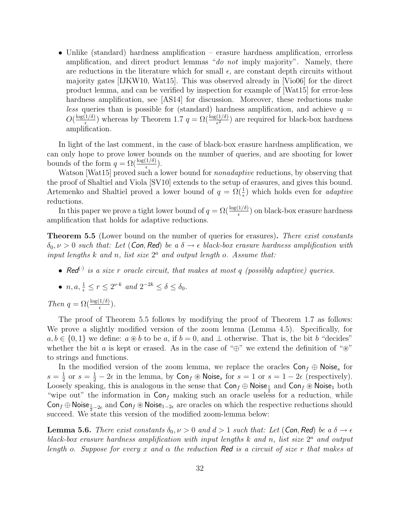• Unlike (standard) hardness amplification – erasure hardness amplification, errorless amplification, and direct product lemmas "do not imply majority". Namely, there are reductions in the literature which for small  $\epsilon$ , are constant depth circuits without majority gates [IJKW10, Wat15]. This was observed already in [Vio06] for the direct product lemma, and can be verified by inspection for example of [Wat15] for error-less hardness amplification, see [AS14] for discussion. Moreover, these reductions make less queries than is possible for (standard) hardness amplification, and achieve  $q =$  $O(\frac{\log(1/\delta)}{\epsilon})$  $\frac{(1/\delta)}{\epsilon}$ ) whereas by Theorem 1.7  $q = \Omega(\frac{\log(1/\delta)}{\epsilon^2})$  are required for black-box hardness amplification.

In light of the last comment, in the case of black-box erasure hardness amplification, we can only hope to prove lower bounds on the number of queries, and are shooting for lower bounds of the form  $q = \Omega(\frac{\log(1/\delta)}{\epsilon})$ .

Watson [Wat15] proved such a lower bound for *nonadaptive* reductions, by observing that the proof of Shaltiel and Viola [SV10] extends to the setup of erasures, and gives this bound. Artemenko and Shaltiel proved a lower bound of  $q = \Omega(\frac{1}{\epsilon})$  which holds even for *adaptive* reductions.

In this paper we prove a tight lower bound of  $q = \Omega(\frac{\log(1/\delta)}{\epsilon})$  on black-box erasure hardness amplification that holds for adaptive reductions.

**Theorem 5.5** (Lower bound on the number of queries for erasures). There exist constants  $\delta_0, \nu > 0$  such that: Let (Con, Red) be a  $\delta \rightarrow \epsilon$  black-box erasure hardness amplification with input lengths  $k$  and  $n$ , list size  $2<sup>a</sup>$  and output length o. Assume that:

- Red<sup>(*i*)</sup> is a size r oracle circuit, that makes at most q (possibly adaptive) queries.
- $n, a, \frac{1}{\epsilon} \le r \le 2^{\nu \cdot k}$  and  $2^{-2k} \le \delta \le \delta_0$ .

Then  $q = \Omega(\frac{\log(1/\delta)}{\epsilon})$ .

The proof of Theorem 5.5 follows by modifying the proof of Theorem 1.7 as follows: We prove a slightly modified version of the zoom lemma (Lemma 4.5). Specifically, for  $a, b \in \{0, 1\}$  we define:  $a \otimes b$  to be a, if  $b = 0$ , and  $\perp$  otherwise. That is, the bit b "decides" whether the bit a is kept or erased. As in the case of " $\oplus$ " we extend the definition of " $\otimes$ " to strings and functions.

In the modified version of the zoom lemma, we replace the oracles  $Con_f \oplus Noise_s$  for  $s=\frac{1}{2}$  $\frac{1}{2}$  or  $s = \frac{1}{2} - 2\epsilon$  in the lemma, by  $\text{Con}_f \otimes \text{Noise}_s$  for  $s = 1$  or  $s = 1 - 2\epsilon$  (respectively). Loosely speaking, this is analogous in the sense that  $\textsf{Con}_f \oplus \textsf{Noise}_1$  and  $\textsf{Con}_f \otimes \textsf{Noise}_1$  both "wipe out" the information in  $\textsf{Con}_f$  making such an oracle useless for a reduction, while Conf ⊕ Noise<sub>1–2 $\epsilon$ </sub> and Conf  $\circledast$  Noise<sub>1–2 $\epsilon$ </sub> are oracles on which the respective reductions should succeed. We state this version of the modified zoom-lemma below:

**Lemma 5.6.** There exist constants  $\delta_0$ ,  $\nu > 0$  and  $d > 1$  such that: Let (Con, Red) be a  $\delta \rightarrow \epsilon$ black-box erasure hardness amplification with input lengths  $k$  and  $n$ , list size  $2<sup>a</sup>$  and output length o. Suppose for every x and  $\alpha$  the reduction Red is a circuit of size r that makes at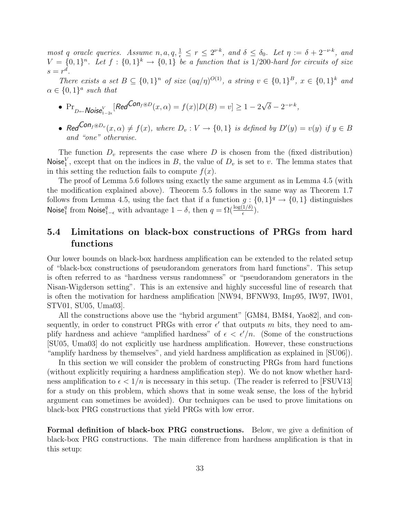most q oracle queries. Assume  $n, a, q, \frac{1}{\epsilon} \leq r \leq 2^{\nu \cdot k}$ , and  $\delta \leq \delta_0$ . Let  $\eta := \delta + 2^{-\nu \cdot k}$ , and  $V = \{0,1\}^n$ . Let  $f : \{0,1\}^k \longrightarrow \{0,1\}$  be a function that is 1/200-hard for circuits of size  $s=r^d$ .

There exists a set  $B \subseteq \{0,1\}^n$  of size  $(aq/\eta)^{O(1)}$ , a string  $v \in \{0,1\}^B$ ,  $x \in \{0,1\}^k$  and  $\alpha \in \{0,1\}^a$  such that

- $Pr_{D \leftarrow \text{Noise}_{1-2\epsilon}^V}$  [Red<sup>Con<sub>f</sub> ®D</sup> $(x, \alpha) = f(x)|D(B) = v] \ge 1 2\sqrt{\frac{2\epsilon}{\epsilon}}$  $\overline{\delta} - 2^{-\nu \cdot k},$
- Red<sup>Con<sub>f</sub>®D<sub>v</sub> $(x, \alpha) \neq f(x)$ , where  $D_v : V \to \{0, 1\}$  is defined by  $D'(y) = v(y)$  if  $y \in B$ </sup> and "one" otherwise.

The function  $D_v$  represents the case where D is chosen from the (fixed distribution) Noise<sup>V</sup>, except that on the indices in B, the value of  $D_v$  is set to v. The lemma states that in this setting the reduction fails to compute  $f(x)$ .

The proof of Lemma 5.6 follows using exactly the same argument as in Lemma 4.5 (with the modification explained above). Theorem 5.5 follows in the same way as Theorem 1.7 follows from Lemma 4.5, using the fact that if a function  $g: \{0,1\}^q \to \{0,1\}$  distinguishes Noise<sup>q</sup> from Noise<sub>1- $\epsilon$ </sub> with advantage  $1 - \delta$ , then  $q = \Omega(\frac{\log(1/\delta)}{\epsilon})$ .

## 5.4 Limitations on black-box constructions of PRGs from hard functions

Our lower bounds on black-box hardness amplification can be extended to the related setup of "black-box constructions of pseudorandom generators from hard functions". This setup is often referred to as "hardness versus randomness" or "pseudorandom generators in the Nisan-Wigderson setting". This is an extensive and highly successful line of research that is often the motivation for hardness amplification [NW94, BFNW93, Imp95, IW97, IW01, STV01, SU05, Uma03].

All the constructions above use the "hybrid argument" [GM84, BM84, Yao82], and consequently, in order to construct PRGs with error  $\epsilon'$  that outputs m bits, they need to amplify hardness and achieve "amplified hardness" of  $\epsilon < \epsilon'/n$ . (Some of the constructions [SU05, Uma03] do not explicitly use hardness amplification. However, these constructions "amplify hardness by themselves", and yield hardness amplification as explained in [SU06]).

In this section we will consider the problem of constructing PRGs from hard functions (without explicitly requiring a hardness amplification step). We do not know whether hardness amplification to  $\epsilon < 1/n$  is necessary in this setup. (The reader is referred to [FSUV13] for a study on this problem, which shows that in some weak sense, the loss of the hybrid argument can sometimes be avoided). Our techniques can be used to prove limitations on black-box PRG constructions that yield PRGs with low error.

Formal definition of black-box PRG constructions. Below, we give a definition of black-box PRG constructions. The main difference from hardness amplification is that in this setup: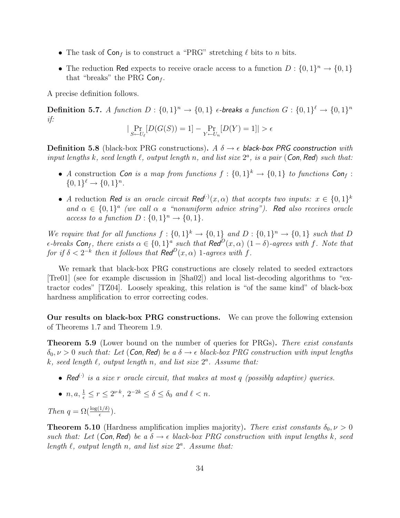- The task of  $\textsf{Con}_{f}$  is to construct a "PRG" stretching  $\ell$  bits to n bits.
- The reduction Red expects to receive oracle access to a function  $D: \{0,1\}^n \to \{0,1\}$ that "breaks" the PRG  $Con<sub>f</sub>$ .

A precise definition follows.

**Definition 5.7.** A function  $D: \{0,1\}^n \to \{0,1\}$  e-breaks a function  $G: \{0,1\}^{\ell} \to \{0,1\}^n$ if:

$$
|\Pr_{S \leftarrow U_{\ell}}[D(G(S)) = 1] - \Pr_{Y \leftarrow U_n}[D(Y) = 1]| > \epsilon
$$

**Definition 5.8** (black-box PRG constructions). A  $\delta \rightarrow \epsilon$  black-box PRG coonstruction with input lengths k, seed length  $\ell$ , output length n, and list size  $2^a$ , is a pair (Con, Red) such that:

- A construction Con is a map from functions  $f: \{0,1\}^k \to \{0,1\}$  to functions Conf:  $\{0,1\}^{\ell} \to \{0,1\}^n$ .
- A reduction Red is an oracle circuit Red<sup>(·)</sup> $(x, \alpha)$  that accepts two inputs:  $x \in \{0,1\}^k$ and  $\alpha \in \{0,1\}^a$  (we call  $\alpha$  a "nonuniform advice string"). Red also receives oracle access to a function  $D: \{0,1\}^n \to \{0,1\}.$

We require that for all functions  $f: \{0,1\}^k \to \{0,1\}$  and  $D: \{0,1\}^n \to \{0,1\}$  such that D  $\epsilon$ -breaks Con<sub>f</sub>, there exists  $\alpha \in \{0,1\}^a$  such that  $\text{Red}^D(x, \alpha)$   $(1-\delta)$ -agrees with f. Note that for if  $\delta < 2^{-k}$  then it follows that  $\text{Red}^D(x, \alpha)$  1-agrees with f.

We remark that black-box PRG constructions are closely related to seeded extractors [Tre01] (see for example discussion in [Sha02]) and local list-decoding algorithms to "extractor codes" [TZ04]. Loosely speaking, this relation is "of the same kind" of black-box hardness amplification to error correcting codes.

Our results on black-box PRG constructions. We can prove the following extension of Theorems 1.7 and Theorem 1.9.

Theorem 5.9 (Lower bound on the number of queries for PRGs). There exist constants  $\delta_0, \nu > 0$  such that: Let (Con, Red) be a  $\delta \rightarrow \epsilon$  black-box PRG construction with input lengths k, seed length  $\ell$ , output length n, and list size  $2^a$ . Assume that:

- Red<sup>(c)</sup> is a size r oracle circuit, that makes at most q (possibly adaptive) queries.
- $n, a, \frac{1}{\epsilon} \le r \le 2^{\nu \cdot k}, 2^{-2k} \le \delta \le \delta_0$  and  $\ell < n$ .

Then  $q = \Omega(\frac{\log(1/\delta)}{\epsilon})$ .

**Theorem 5.10** (Hardness amplification implies majority). There exist constants  $\delta_0, \nu > 0$ such that: Let (Con, Red) be a  $\delta \rightarrow \epsilon$  black-box PRG construction with input lengths k, seed length  $\ell$ , output length n, and list size  $2^a$ . Assume that: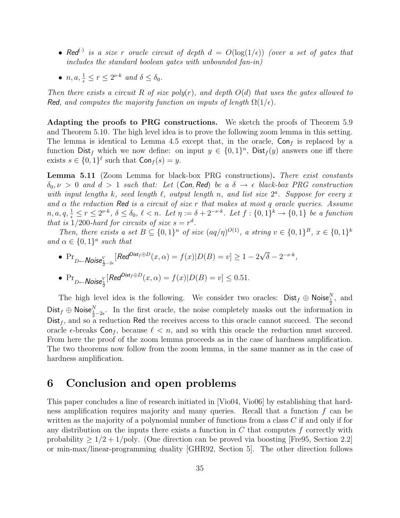- Red<sup>(.)</sup> is a size r oracle circuit of depth  $d = O(\log(1/\epsilon))$  (over a set of gates that includes the standard boolean gates with unbounded fan-in)
- $n, a, \frac{1}{\epsilon} \le r \le 2^{\nu \cdot k}$  and  $\delta \le \delta_0$ .

Then there exists a circuit R of size  $poly(r)$ , and depth  $O(d)$  that uses the gates allowed to Red, and computes the majority function on inputs of length  $\Omega(1/\epsilon)$ .

Adapting the proofs to PRG constructions. We sketch the proofs of Theorem 5.9 and Theorem 5.10. The high level idea is to prove the following zoom lemma in this setting. The lemma is identical to Lemma 4.5 except that, in the oracle,  $Con<sub>f</sub>$  is replaced by a function  $\text{Dist}_f$  which we now define: on input  $y \in \{0,1\}^n$ ,  $\text{Dist}_f(y)$  answers one iff there exists  $s \in \{0,1\}^{\ell}$  such that  $\mathsf{Con}_f(s) = y$ .

Lemma 5.11 (Zoom Lemma for black-box PRG constructions). There exist constants  $\delta_0, \nu > 0$  and  $d > 1$  such that: Let (Con, Red) be a  $\delta \rightarrow \epsilon$  black-box PRG construction with input lengths k, seed length  $\ell$ , output length n, and list size  $2^a$ . Suppose for every x and  $\alpha$  the reduction Red is a circuit of size r that makes at most q oracle queries. Assume  $n, a, q, \frac{1}{\epsilon} \leq r \leq 2^{\nu \cdot k}, \ \delta \leq \delta_0, \ \ell < n.$  Let  $\eta := \delta + 2^{-\nu \cdot k}.$  Let  $f : \{0,1\}^k \to \{0,1\}$  be a function that is  $1/200$ -hard for circuits of size  $s = r<sup>d</sup>$ .

Then, there exists a set  $B \subseteq \{0,1\}^n$  of size  $(aq/\eta)^{O(1)}$ , a string  $v \in \{0,1\}^B$ ,  $x \in \{0,1\}^k$ and  $\alpha \in \{0,1\}^a$  such that

\n- $$
\Pr_{D \leftarrow \text{Noise}_{\frac{1}{2}-2\epsilon}^V}[\text{Red}^{\text{Dist}_f \oplus D}(x, \alpha) = f(x)|D(B) = v] \ge 1 - 2\sqrt{\delta} - 2^{-\nu \cdot k},
$$
\n- $\Pr_{D \leftarrow \text{Noise}_{\frac{1}{2}}^V}[\text{Red}^{\text{Dist}_f \oplus D}(x, \alpha) = f(x)|D(B) = v] \le 0.51.$
\n

The high level idea is the following. We consider two oracles:  $\text{Dist}_f \oplus \text{Noise}_{\frac{1}{2}}^N$ , and Dist<sub>f</sub>  $\oplus$  Noise $\frac{N}{\frac{1}{2}-2\epsilon}$ . In the first oracle, the noise completely masks out the information in  $Dist<sub>f</sub>$ , and so a reduction Red the receives access to this oracle cannot succeed. The second oracle  $\epsilon$ -breaks  $Con_f$ , because  $\ell < n$ , and so with this oracle the reduction must succeed. From here the proof of the zoom lemma proceeds as in the case of hardness amplification. The two theorems now follow from the zoom lemma, in the same manner as in the case of hardness amplification.

## 6 Conclusion and open problems

This paper concludes a line of research initiated in [Vio04, Vio06] by establishing that hardness amplification requires majority and many queries. Recall that a function f can be written as the majority of a polynomial number of functions from a class C if and only if for any distribution on the inputs there exists a function in  $C$  that computes f correctly with probability  $> 1/2 + 1$ /poly. (One direction can be proved via boosting [Fre95, Section 2.2] or min-max/linear-programming duality [GHR92, Section 5]. The other direction follows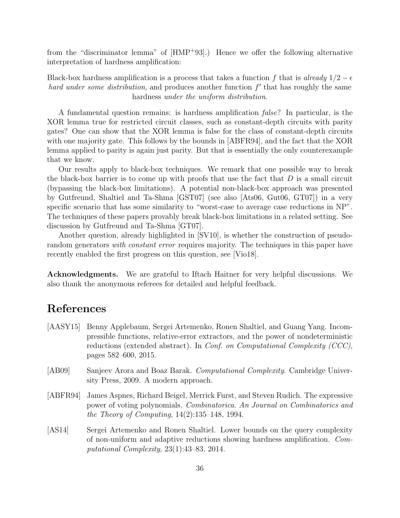from the "discriminator lemma" of [HMP<sup>+</sup>93].) Hence we offer the following alternative interpretation of hardness amplification:

Black-box hardness amplification is a process that takes a function f that is already  $1/2 - \epsilon$ hard under some distribution, and produces another function  $f'$  that has roughly the same hardness under the uniform distribution.

A fundamental question remains: is hardness amplification false? In particular, is the XOR lemma true for restricted circuit classes, such as constant-depth circuits with parity gates? One can show that the XOR lemma is false for the class of constant-depth circuits with one majority gate. This follows by the bounds in [ABFR94], and the fact that the XOR lemma applied to parity is again just parity. But that is essentially the only counterexample that we know.

Our results apply to black-box techniques. We remark that one possible way to break the black-box barrier is to come up with proofs that use the fact that  $D$  is a small circuit (bypassing the black-box limitations). A potential non-black-box approach was presented by Gutfreund, Shaltiel and Ta-Shma [GST07] (see also [Ats06, Gut06, GT07]) in a very specific scenario that has some similarity to "worst-case to average case reductions in NP". The techniques of these papers provably break black-box limitations in a related setting. See discussion by Gutfreund and Ta-Shma [GT07].

Another question, already highlighted in [SV10], is whether the construction of pseudorandom generators with constant error requires majority. The techniques in this paper have recently enabled the first progress on this question, see [Vio18].

Acknowledgments. We are grateful to Iftach Haitner for very helpful discussions. We also thank the anonymous referees for detailed and helpful feedback.

# References

- [AASY15] Benny Applebaum, Sergei Artemenko, Ronen Shaltiel, and Guang Yang. Incompressible functions, relative-error extractors, and the power of nondeterministic reductions (extended abstract). In Conf. on Computational Complexity (CCC), pages 582–600, 2015.
- [AB09] Sanjeev Arora and Boaz Barak. Computational Complexity. Cambridge University Press, 2009. A modern approach.
- [ABFR94] James Aspnes, Richard Beigel, Merrick Furst, and Steven Rudich. The expressive power of voting polynomials. Combinatorica. An Journal on Combinatorics and the Theory of Computing,  $14(2):135-148$ , 1994.
- [AS14] Sergei Artemenko and Ronen Shaltiel. Lower bounds on the query complexity of non-uniform and adaptive reductions showing hardness amplification. Computational Complexity, 23(1):43–83, 2014.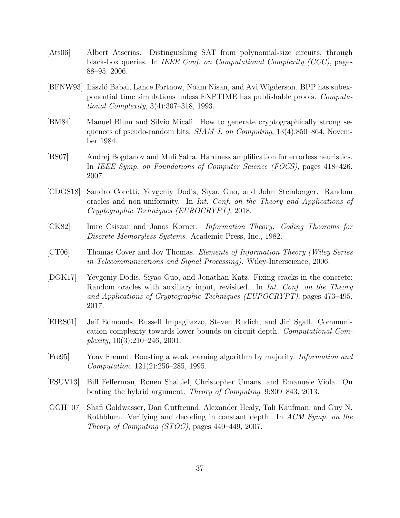- [Ats06] Albert Atserias. Distinguishing SAT from polynomial-size circuits, through black-box queries. In *IEEE Conf. on Computational Complexity (CCC)*, pages 88–95, 2006.
- [BFNW93] László Babai, Lance Fortnow, Noam Nisan, and Avi Wigderson. BPP has subexponential time simulations unless EXPTIME has publishable proofs. Computational Complexity, 3(4):307–318, 1993.
- [BM84] Manuel Blum and Silvio Micali. How to generate cryptographically strong sequences of pseudo-random bits.  $SIAM J.$  on Computing,  $13(4)$ :850–864, November 1984.
- [BS07] Andrej Bogdanov and Muli Safra. Hardness amplification for errorless heuristics. In IEEE Symp. on Foundations of Computer Science (FOCS), pages 418–426, 2007.
- [CDGS18] Sandro Coretti, Yevgeniy Dodis, Siyao Guo, and John Steinberger. Random oracles and non-uniformity. In Int. Conf. on the Theory and Applications of Cryptographic Techniques (EUROCRYPT), 2018.
- [CK82] Imre Csiszar and Janos Korner. Information Theory: Coding Theorems for Discrete Memoryless Systems. Academic Press, Inc., 1982.
- [CT06] Thomas Cover and Joy Thomas. Elements of Information Theory (Wiley Series in Telecommunications and Signal Processing). Wiley-Interscience, 2006.
- [DGK17] Yevgeniy Dodis, Siyao Guo, and Jonathan Katz. Fixing cracks in the concrete: Random oracles with auxiliary input, revisited. In *Int. Conf. on the Theory* and Applications of Cryptographic Techniques (EUROCRYPT), pages 473–495, 2017.
- [EIRS01] Jeff Edmonds, Russell Impagliazzo, Steven Rudich, and Jiri Sgall. Communication complexity towards lower bounds on circuit depth. Computational Complexity,  $10(3):210-246$ ,  $2001$ .
- [Fre95] Yoav Freund. Boosting a weak learning algorithm by majority. Information and Computation, 121(2):256–285, 1995.
- [FSUV13] Bill Fefferman, Ronen Shaltiel, Christopher Umans, and Emanuele Viola. On beating the hybrid argument. Theory of Computing, 9:809–843, 2013.
- [GGH<sup>+</sup>07] Shafi Goldwasser, Dan Gutfreund, Alexander Healy, Tali Kaufman, and Guy N. Rothblum. Verifying and decoding in constant depth. In ACM Symp. on the Theory of Computing (STOC), pages 440–449, 2007.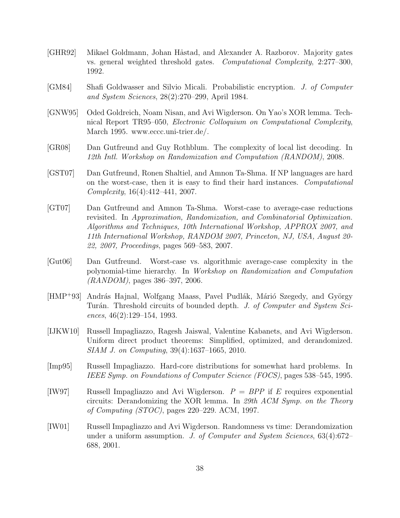- [GHR92] Mikael Goldmann, Johan Håstad, and Alexander A. Razborov. Majority gates vs. general weighted threshold gates. Computational Complexity, 2:277–300, 1992.
- [GM84] Shafi Goldwasser and Silvio Micali. Probabilistic encryption. J. of Computer and System Sciences, 28(2):270–299, April 1984.
- [GNW95] Oded Goldreich, Noam Nisan, and Avi Wigderson. On Yao's XOR lemma. Technical Report TR95–050, Electronic Colloquium on Computational Complexity, March 1995. www.eccc.uni-trier.de/.
- [GR08] Dan Gutfreund and Guy Rothblum. The complexity of local list decoding. In 12th Intl. Workshop on Randomization and Computation (RANDOM), 2008.
- [GST07] Dan Gutfreund, Ronen Shaltiel, and Amnon Ta-Shma. If NP languages are hard on the worst-case, then it is easy to find their hard instances. Computational Complexity, 16(4):412–441, 2007.
- [GT07] Dan Gutfreund and Amnon Ta-Shma. Worst-case to average-case reductions revisited. In Approximation, Randomization, and Combinatorial Optimization. Algorithms and Techniques, 10th International Workshop, APPROX 2007, and 11th International Workshop, RANDOM 2007, Princeton, NJ, USA, August 20- 22, 2007, Proceedings, pages 569–583, 2007.
- [Gut06] Dan Gutfreund. Worst-case vs. algorithmic average-case complexity in the polynomial-time hierarchy. In Workshop on Randomization and Computation (RANDOM), pages 386–397, 2006.
- [HMP<sup>+</sup>93] András Hajnal, Wolfgang Maass, Pavel Pudlák, Márió Szegedy, and György Turán. Threshold circuits of bounded depth. J. of Computer and System Sciences, 46(2):129–154, 1993.
- [IJKW10] Russell Impagliazzo, Ragesh Jaiswal, Valentine Kabanets, and Avi Wigderson. Uniform direct product theorems: Simplified, optimized, and derandomized. SIAM J. on Computing, 39(4):1637–1665, 2010.
- [Imp95] Russell Impagliazzo. Hard-core distributions for somewhat hard problems. In IEEE Symp. on Foundations of Computer Science (FOCS), pages 538–545, 1995.
- [IW97] Russell Impagliazzo and Avi Wigderson.  $P = BPP$  if E requires exponential circuits: Derandomizing the XOR lemma. In 29th  $ACM$  Symp. on the Theory of Computing (STOC), pages 220–229. ACM, 1997.
- [IW01] Russell Impagliazzo and Avi Wigderson. Randomness vs time: Derandomization under a uniform assumption. J. of Computer and System Sciences,  $63(4):672-$ 688, 2001.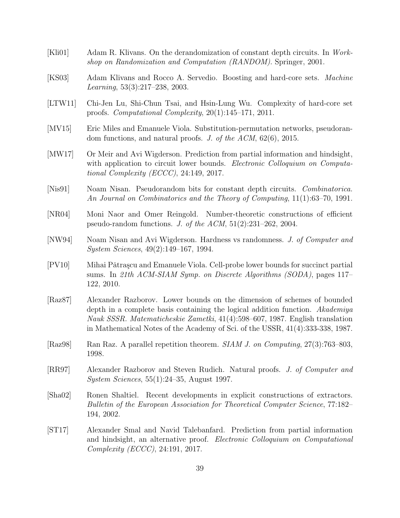- [Kli01] Adam R. Klivans. On the derandomization of constant depth circuits. In Workshop on Randomization and Computation (RANDOM). Springer, 2001.
- [KS03] Adam Klivans and Rocco A. Servedio. Boosting and hard-core sets. Machine Learning, 53(3):217–238, 2003.
- [LTW11] Chi-Jen Lu, Shi-Chun Tsai, and Hsin-Lung Wu. Complexity of hard-core set proofs. Computational Complexity, 20(1):145–171, 2011.
- [MV15] Eric Miles and Emanuele Viola. Substitution-permutation networks, pseudorandom functions, and natural proofs. J. of the  $ACM$ ,  $62(6)$ ,  $2015$ .
- [MW17] Or Meir and Avi Wigderson. Prediction from partial information and hindsight, with application to circuit lower bounds. Electronic Colloquium on Computational Complexity (ECCC), 24:149, 2017.
- [Nis91] Noam Nisan. Pseudorandom bits for constant depth circuits. *Combinatorica*. An Journal on Combinatorics and the Theory of Computing, 11(1):63–70, 1991.
- [NR04] Moni Naor and Omer Reingold. Number-theoretic constructions of efficient pseudo-random functions. J. of the  $ACM$ ,  $51(2):231-262$ , 2004.
- [NW94] Noam Nisan and Avi Wigderson. Hardness vs randomness. J. of Computer and System Sciences, 49(2):149–167, 1994.
- [PV10] Mihai Pǎtraşcu and Emanuele Viola. Cell-probe lower bounds for succinct partial sums. In 21th ACM-SIAM Symp. on Discrete Algorithms (SODA), pages 117– 122, 2010.
- [Raz87] Alexander Razborov. Lower bounds on the dimension of schemes of bounded depth in a complete basis containing the logical addition function. Akademiya Nauk SSSR. Matematicheskie Zametki, 41(4):598–607, 1987. English translation in Mathematical Notes of the Academy of Sci. of the USSR, 41(4):333-338, 1987.
- [Raz98] Ran Raz. A parallel repetition theorem. SIAM J. on Computing, 27(3):763–803, 1998.
- [RR97] Alexander Razborov and Steven Rudich. Natural proofs. J. of Computer and System Sciences, 55(1):24–35, August 1997.
- [Sha02] Ronen Shaltiel. Recent developments in explicit constructions of extractors. Bulletin of the European Association for Theoretical Computer Science, 77:182– 194, 2002.
- [ST17] Alexander Smal and Navid Talebanfard. Prediction from partial information and hindsight, an alternative proof. Electronic Colloquium on Computational Complexity (ECCC), 24:191, 2017.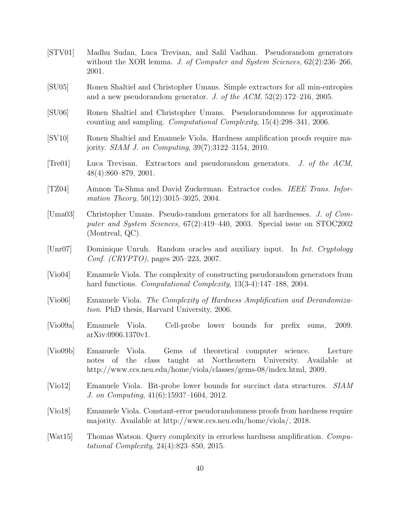- [STV01] Madhu Sudan, Luca Trevisan, and Salil Vadhan. Pseudorandom generators without the XOR lemma. J. of Computer and System Sciences,  $62(2):236-266$ , 2001.
- [SU05] Ronen Shaltiel and Christopher Umans. Simple extractors for all min-entropies and a new pseudorandom generator. J. of the ACM,  $52(2):172-216$ , 2005.
- [SU06] Ronen Shaltiel and Christopher Umans. Pseudorandomness for approximate counting and sampling. Computational Complexity, 15(4):298–341, 2006.
- [SV10] Ronen Shaltiel and Emanuele Viola. Hardness amplification proofs require majority. SIAM J. on Computing, 39(7):3122–3154, 2010.
- [Tre01] Luca Trevisan. Extractors and pseudorandom generators. J. of the ACM, 48(4):860–879, 2001.
- [TZ04] Amnon Ta-Shma and David Zuckerman. Extractor codes. IEEE Trans. Information Theory, 50(12):3015-3025, 2004.
- [Uma03] Christopher Umans. Pseudo-random generators for all hardnesses. J. of Computer and System Sciences, 67(2):419–440, 2003. Special issue on STOC2002 (Montreal, QC).
- [Unr07] Dominique Unruh. Random oracles and auxiliary input. In Int. Cryptology Conf. (CRYPTO), pages 205–223, 2007.
- [Vio04] Emanuele Viola. The complexity of constructing pseudorandom generators from hard functions. *Computational Complexity*, 13(3-4):147–188, 2004.
- [Vio06] Emanuele Viola. The Complexity of Hardness Amplification and Derandomization. PhD thesis, Harvard University, 2006.
- [Vio09a] Emanuele Viola. Cell-probe lower bounds for prefix sums, 2009. arXiv:0906.1370v1.
- [Vio09b] Emanuele Viola. Gems of theoretical computer science. Lecture notes of the class taught at Northeastern University. Available at http://www.ccs.neu.edu/home/viola/classes/gems-08/index.html, 2009.
- [Vio12] Emanuele Viola. Bit-probe lower bounds for succinct data structures. SIAM J. on Computing, 41(6):1593?–1604, 2012.
- [Vio18] Emanuele Viola. Constant-error pseudorandomness proofs from hardness require majority. Available at http://www.ccs.neu.edu/home/viola/, 2018.
- [Wat15] Thomas Watson. Query complexity in errorless hardness amplification. Computational Complexity, 24(4):823–850, 2015.